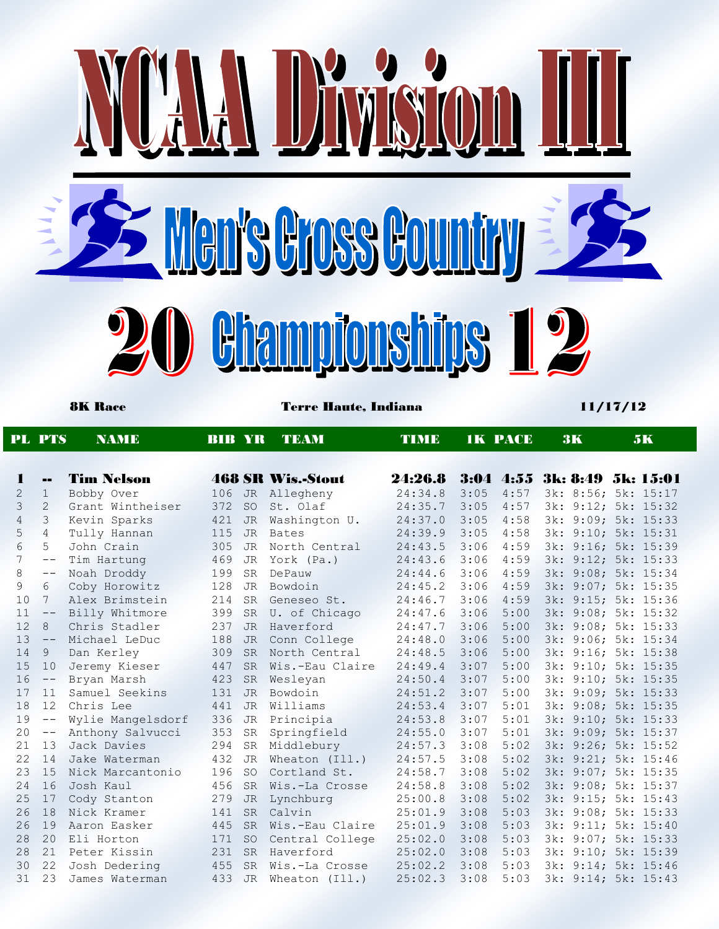

|                     | <b>PL PTS</b>                 | <b>NAMIE</b>                   | <b>BIB YR</b> |                        | TEAM                          | <b>TIME</b>        |              | <b>1K PACE</b> | <b>3K</b>                                  |       | 5K              |
|---------------------|-------------------------------|--------------------------------|---------------|------------------------|-------------------------------|--------------------|--------------|----------------|--------------------------------------------|-------|-----------------|
| 1                   |                               | <b>Tim Nelson</b>              |               |                        | <b>468 SR Wis.-Stout</b>      | 24:26.8            |              | $3:04$ 4:55    | 3k: 8:49 5k: 15:01                         |       |                 |
|                     | $=$                           |                                |               |                        |                               |                    |              |                |                                            |       |                 |
| $\overline{2}$<br>3 | $\mathbf 1$<br>$\overline{2}$ | Bobby Over<br>Grant Wintheiser | 106           | <b>JR</b>              | Allegheny<br>St. Olaf         | 24:34.8<br>24:35.7 | 3:05<br>3:05 | 4:57<br>4:57   | 3k: 8:56; 5k: 15:17                        |       |                 |
| $\overline{4}$      | 3                             |                                | 372<br>421    | <b>SO</b><br><b>JR</b> |                               | 24:37.0            | 3:05         | 4:58           | 3k: 9:12; 5k: 15:32<br>3k: 9:09; 5k: 15:33 |       |                 |
| 5                   | $\overline{4}$                | Kevin Sparks<br>Tully Hannan   | 115           | <b>JR</b>              | Washington U.<br><b>Bates</b> | 24:39.9            | 3:05         | 4:58           | 3k: 9:10; 5k: 15:31                        |       |                 |
| 6                   | 5                             | John Crain                     | 305           | <b>JR</b>              | North Central                 | 24:43.5            | 3:06         | 4:59           | 3k: 9:16; 5k: 15:39                        |       |                 |
| 7                   | $- -$                         | Tim Hartung                    | 469           | <b>JR</b>              | York (Pa.)                    | 24:43.6            | 3:06         | 4:59           | 3k: 9:12; 5k: 15:33                        |       |                 |
| 8                   | $\qquad -$                    | Noah Droddy                    | 199           | <b>SR</b>              | DePauw                        | 24:44.6            | 3:06         | 4:59           | 3k: 9:08; 5k: 15:34                        |       |                 |
| 9                   | 6                             | Coby Horowitz                  | 128           | <b>JR</b>              | Bowdoin                       | 24:45.2            | 3:06         | 4:59           | 3k: 9:07; 5k: 15:35                        |       |                 |
| 10                  | 7                             | Alex Brimstein                 | 214           | <b>SR</b>              | Geneseo St.                   | 24:46.7            | 3:06         | 4:59           | 3k: 9:15; 5k: 15:36                        |       |                 |
| 11                  | $--$                          | Billy Whitmore                 | 399           | <b>SR</b>              | U. of Chicago                 | 24:47.6            | 3:06         | 5:00           | 3k: 9:08; 5k: 15:32                        |       |                 |
| 12                  | 8                             | Chris Stadler                  | 237           | <b>JR</b>              | Haverford                     | 24:47.7            | 3:06         | 5:00           | 3k: 9:08; 5k: 15:33                        |       |                 |
| 13                  | $\qquad \qquad -$             | Michael LeDuc                  | 188           | <b>JR</b>              | Conn College                  | 24:48.0            | 3:06         | 5:00           | 3k: 9:06; 5k: 15:34                        |       |                 |
| 14                  | 9                             | Dan Kerley                     | 309           | <b>SR</b>              | North Central                 | 24:48.5            | 3:06         | 5:00           | 3k:                                        |       | 9:16; 5k: 15:38 |
| 15                  | 10                            | Jeremy Kieser                  | 447           | <b>SR</b>              | Wis.-Eau Claire               | 24:49.4            | 3:07         | 5:00           | 3k: 9:10; 5k: 15:35                        |       |                 |
| 16                  | $\qquad \qquad -$             | Bryan Marsh                    | 423           | <b>SR</b>              | Weslevan                      | 24:50.4            | 3:07         | 5:00           | 3k:                                        |       | 9:10; 5k: 15:35 |
| 17                  | 11                            | Samuel Seekins                 | 131           | <b>JR</b>              | Bowdoin                       | 24:51.2            | 3:07         | 5:00           | 3k:                                        |       | 9:09; 5k: 15:33 |
| 18                  | 12                            | Chris Lee                      | 441           | <b>JR</b>              | Williams                      | 24:53.4            | 3:07         | 5:01           | 3k: 9:08; 5k: 15:35                        |       |                 |
| 19                  | $-\,-$                        | Wylie Mangelsdorf              | 336           | JR                     | Principia                     | 24:53.8            | 3:07         | 5:01           | 3k: 9:10; 5k: 15:33                        |       |                 |
| 20                  | $-\,-$                        | Anthony Salvucci               | 353           | <b>SR</b>              | Springfield                   | 24:55.0            | 3:07         | 5:01           | 3k: 9:09; 5k: 15:37                        |       |                 |
| 21                  | 13                            | Jack Davies                    | 294           | SR                     | Middlebury                    | 24:57.3            | 3:08         | 5:02           | 3k: 9:26; 5k: 15:52                        |       |                 |
| 22                  | 14                            | Jake Waterman                  | 432           | <b>JR</b>              | Wheaton (Ill.)                | 24:57.5            | 3:08         | 5:02           | 3k: 9:21; 5k: 15:46                        |       |                 |
| 23                  | 15                            | Nick Marcantonio               | 196           | <b>SO</b>              | Cortland St.                  | 24:58.7            | 3:08         | 5:02           | 3k: 9:07; 5k: 15:35                        |       |                 |
| 24                  | 16                            | Josh Kaul                      | 456           | <b>SR</b>              | Wis.-La Crosse                | 24:58.8            | 3:08         | 5:02           | 3k: 9:08; 5k: 15:37                        |       |                 |
| 25                  | 17                            | Cody Stanton                   | 279           | <b>JR</b>              | Lynchburg                     | 25:00.8            | 3:08         | 5:02           | 3k: 9:15; 5k: 15:43                        |       |                 |
| 26                  | 18                            | Nick Kramer                    | 141           | <b>SR</b>              | Calvin                        | 25:01.9            | 3:08         | 5:03           | 3k: 9:08; 5k: 15:33                        |       |                 |
| 26                  | 19                            | Aaron Easker                   | 445           | <b>SR</b>              | Wis.-Eau Claire               | 25:01.9            | 3:08         | 5:03           | 3k: 9:11; 5k: 15:40                        |       |                 |
| 28                  | 20                            | Eli Horton                     | 171           | <b>SO</b>              | Central College               | 25:02.0            | 3:08         | 5:03           | 3k:                                        | 9:07: | 5k: 15:33       |
| 28                  | 21                            | Peter Kissin                   | 231           | <b>SR</b>              | Haverford                     | 25:02.0            | 3:08         | 5:03           | 3k: 9:10; 5k: 15:39                        |       |                 |
| 30                  | 22                            | Josh Dedering                  | 455           | <b>SR</b>              | Wis.-La Crosse                | 25:02.2            | 3:08         | 5:03           | 3k: 9:14; 5k: 15:46                        |       |                 |
| 31                  | 23                            | James Waterman                 | 433           | <b>JR</b>              | Wheaton (Ill.)                | 25:02.3            | 3:08         | 5:03           | 3k: 9:14; 5k: 15:43                        |       |                 |
|                     |                               |                                |               |                        |                               |                    |              |                |                                            |       |                 |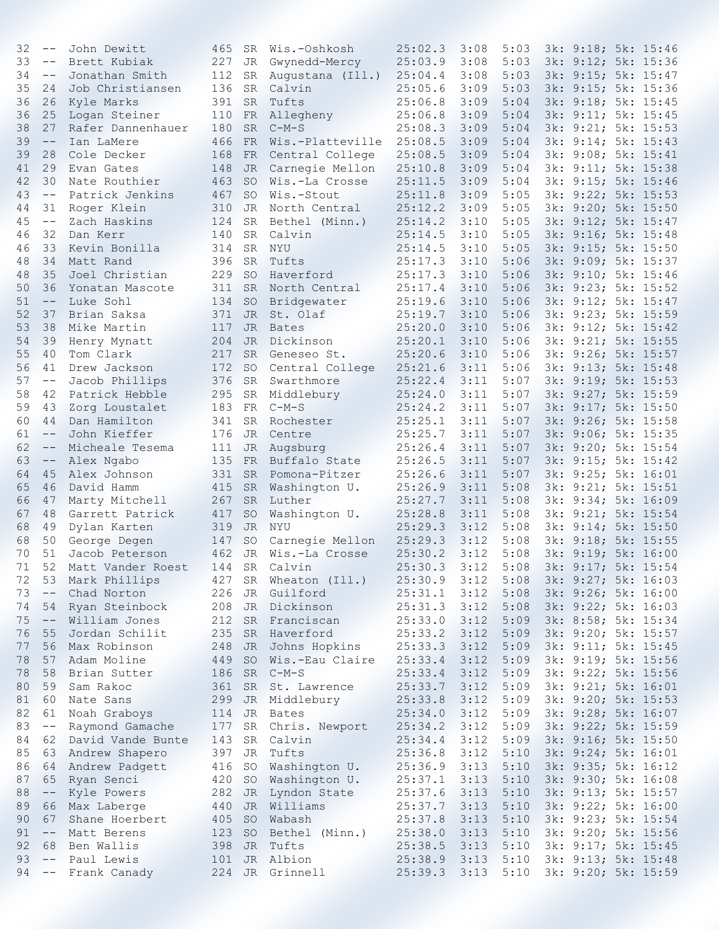| 32       | $-\,-$            | John Dewitt                          | 465        | SR        | Wis.-Oshkosh                | 25:02.3            | 3:08         | 5:03         | 3k: 9:18; 5k: 15:46                        |  |
|----------|-------------------|--------------------------------------|------------|-----------|-----------------------------|--------------------|--------------|--------------|--------------------------------------------|--|
| 33       | $--$              | Brett Kubiak                         | 227        | JR        | Gwynedd-Mercy               | 25:03.9            | 3:08         | 5:03         | 3k: 9:12; 5k: 15:36                        |  |
| 34       | $\qquad \qquad -$ | Jonathan Smith                       | 112        | SR        | Augustana (Ill.)            | 25:04.4            | 3:08         | 5:03         | 3k: 9:15; 5k: 15:47                        |  |
| 35       | 24                | Job Christiansen                     | 136        | SR        | Calvin                      | 25:05.6            | 3:09         | 5:03         | 3k: 9:15; 5k: 15:36                        |  |
| 36       | 26                | Kyle Marks                           | 391        | SR.       | Tufts                       | 25:06.8            | 3:09         | 5:04         | 3k: 9:18; 5k: 15:45                        |  |
| 36       | 25                | Logan Steiner                        | 110        | FR        | Allegheny                   | 25:06.8            | 3:09         | 5:04         | 3k: 9:11; 5k: 15:45                        |  |
| 38       | 27                | Rafer Dannenhauer                    | 180        | <b>SR</b> | $C-M-S$                     | 25:08.3            | 3:09         | 5:04         | 3k: 9:21; 5k: 15:53                        |  |
| 39       | $-\,-$            | Ian LaMere                           | 466        | <b>FR</b> | Wis.-Platteville            | 25:08.5            | 3:09         | 5:04         | 3k: 9:14; 5k: 15:43                        |  |
| 39       | 28                | Cole Decker                          | 168        | FR        | Central College             | 25:08.5            | 3:09         | 5:04         | 3k: 9:08; 5k: 15:41                        |  |
| 41       | 29                | Evan Gates                           | 148        | JR        | Carnegie Mellon             | 25:10.8            | 3:09         | 5:04         | 3k: 9:11; 5k: 15:38                        |  |
| 42       | 30                | Nate Routhier                        | 463        | <b>SO</b> | Wis.-La Crosse              | 25:11.5            | 3:09         | 5:04         | 3k: 9:15; 5k: 15:46                        |  |
| 43       | $--$              | Patrick Jenkins                      | 467        | SO.       | Wis.-Stout                  | 25:11.8            | 3:09         | 5:05         | 3k: 9:22; 5k: 15:53                        |  |
| 44       | 31                | Roger Klein                          | 310        | JR        | North Central               | 25:12.2            | 3:09         | 5:05         | 3k: 9:20; 5k: 15:50                        |  |
| 45       | $--$              | Zach Haskins                         | 124        | SR        | Bethel (Minn.)              | 25:14.2            | 3:10         | 5:05         | 3k: 9:12; 5k: 15:47                        |  |
| 46       | 32                | Dan Kerr                             | 140        | <b>SR</b> | Calvin                      | 25:14.5            | 3:10         | 5:05         | 3k: 9:16; 5k: 15:48                        |  |
| 46       | 33                | Kevin Bonilla                        | 314        | <b>SR</b> | NYU                         | 25:14.5            | 3:10         | 5:05         | 3k: 9:15; 5k: 15:50                        |  |
| 48       | 34                | Matt Rand                            | 396        | SR        | Tufts                       | 25:17.3            | 3:10         | 5:06         | 3k: 9:09; 5k: 15:37                        |  |
| 48       | 35                | Joel Christian                       | 229        | <b>SO</b> | Haverford                   | 25:17.3            | 3:10         | 5:06         | 3k: 9:10; 5k: 15:46                        |  |
| 50       | 36                | Yonatan Mascote                      | 311        | <b>SR</b> | North Central               | 25:17.4            | 3:10         | 5:06         | 3k: 9:23; 5k: 15:52                        |  |
| 51       | $-\,-$            | Luke Sohl                            | 134        | <b>SO</b> | Bridgewater                 | 25:19.6            | 3:10         | 5:06         | 3k: 9:12; 5k: 15:47                        |  |
| 52       | 37                | Brian Saksa                          | 371        | JR        | St. Olaf                    | 25:19.7            | 3:10         | 5:06         | 3k: 9:23; 5k: 15:59                        |  |
| 53       | 38                | Mike Martin                          | 117        | JR        | <b>Bates</b>                | 25:20.0            | 3:10         | 5:06         | 3k: 9:12; 5k: 15:42                        |  |
| 54       | 39                | Henry Mynatt                         | 204        | JR        | Dickinson                   | 25:20.1            | 3:10         | 5:06         | 3k: 9:21; 5k: 15:55                        |  |
| 55       | 40                | Tom Clark                            | 217        | <b>SR</b> | Geneseo St.                 | 25:20.6            | 3:10         | 5:06         | 3k: 9:26; 5k: 15:57                        |  |
| 56       | 41                | Drew Jackson                         | 172        | <b>SO</b> | Central College             | 25:21.6            | 3:11         | 5:06         | 3k: 9:13; 5k: 15:48                        |  |
| 57       | $-\,-$            | Jacob Phillips                       | 376        | <b>SR</b> | Swarthmore                  | 25:22.4            | 3:11         | 5:07         | 3k: 9:19; 5k: 15:53                        |  |
| 58       | 42                | Patrick Hebble                       | 295        | <b>SR</b> | Middlebury                  | 25:24.0            | 3:11         | 5:07         | 3k: 9:27; 5k: 15:59                        |  |
| 59       | 43                | Zorg Loustalet                       | 183        | FR        | $C-M-S$                     | 25:24.2            | 3:11         | 5:07         | 3k: 9:17; 5k: 15:50                        |  |
| 60       | 44                | Dan Hamilton                         | 341        | SR        | Rochester                   | 25:25.1            | 3:11         | 5:07         | 3k: 9:26; 5k: 15:58                        |  |
| 61       | $\qquad \qquad -$ | John Kieffer                         | 176        | JR        | Centre                      | 25:25.7            | 3:11         | 5:07         | 3k: 9:06; 5k: 15:35                        |  |
| 62       | $\qquad \qquad -$ | Micheale Tesema                      | 111        | <b>JR</b> | Augsburg                    | 25:26.4            | 3:11         | 5:07         | 3k: 9:20; 5k: 15:54                        |  |
| 63       | $- -$             | Alex Ngabo                           | 135        | FR        | Buffalo State               | 25:26.5            | 3:11         | 5:07         | 3k: 9:15; 5k: 15:42                        |  |
| 64       | 45                | Alex Johnson                         | 331        | <b>SR</b> | Pomona-Pitzer               | 25:26.6            | 3:11         | 5:07         | 3k: 9:25; 5k: 16:01                        |  |
| 65       | 46                | David Hamm                           | 415        | <b>SR</b> | Washington U.               | 25:26.9            | 3:11         | 5:08         | 3k: 9:21; 5k: 15:51                        |  |
| 66       | 47                | Marty Mitchell                       | 267        | <b>SR</b> | Luther                      | 25:27.7            | 3:11         | 5:08         | 3k: 9:34; 5k: 16:09                        |  |
| 67       | 48                | Garrett Patrick                      | 417        | <b>SO</b> | Washington U.               | 25:28.8            | 3:11         | 5:08         | 3k: 9:21; 5k: 15:54                        |  |
| 68       | 49                | Dylan Karten                         | 319        | <b>JR</b> | NYU                         | 25:29.3            | 3:12         | 5:08         | 3k: 9:14; 5k: 15:50                        |  |
| 68       | 50                | George Degen                         | 147        | SO        | Carnegie Mellon             | 25:29.3            | 3:12         | 5:08         | 3k: 9:18; 5k: 15:55                        |  |
| 70       | 51                | Jacob Peterson                       | 462        | JR        | Wis.-La Crosse              | 25:30.2            | 3:12         | 5:08         | 3k: 9:19; 5k: 16:00                        |  |
| 71       |                   | 52 Matt Vander Roest                 |            |           | 144 SR Calvin               | 25:30.3            | 3:12         | 5:08         | 3k: 9:17; 5k: 15:54                        |  |
| 72       | 53                | Mark Phillips                        |            |           | 427 SR Wheaton (Ill.)       | 25:30.9            | 3:12         | 5:08         | 3k: 9:27; 5k: 16:03                        |  |
| 73       | $--$              | Chad Norton                          | 226        |           | JR Guilford                 | 25:31.1            | 3:12         | 5:08         | 3k: 9:26; 5k: 16:00                        |  |
| 74       | 54                | Ryan Steinbock                       | 208        |           | JR Dickinson                | 25:31.3            | 3:12         | 5:08         | 3k: 9:22; 5k: 16:03                        |  |
| 75       | $--$              | William Jones                        | 212        |           | SR Franciscan               | 25:33.0            | 3:12         | 5:09         | 3k: 8:58; 5k: 15:34                        |  |
| 76       | 55                | Jordan Schilit                       | 235        |           | SR Haverford                | 25:33.2            | 3:12         | 5:09         | 3k: 9:20; 5k: 15:57                        |  |
| 77       | 56                | Max Robinson                         | 248        |           | JR Johns Hopkins            | 25:33.3            | 3:12         | 5:09         | 3k: 9:11; 5k: 15:45                        |  |
| 78       | 57                | Adam Moline                          | 449        |           | SO Wis.-Eau Claire          | 25:33.4            | 3:12         | 5:09         | 3k: 9:19; 5k: 15:56                        |  |
| 78       | 58                | Brian Sutter                         | 186        |           | SR C-M-S                    | 25:33.4            | 3:12         | 5:09         | 3k: 9:22; 5k: 15:56                        |  |
| 80       | 59                | Sam Rakoc                            | 361        |           | SR St. Lawrence             | 25:33.7            | 3:12         | 5:09         | 3k: 9:21; 5k: 16:01                        |  |
| 81       | 60                | Nate Sans                            | 299        |           | JR Middlebury               | 25:33.8            | 3:12         | 5:09         | 3k: 9:20; 5k: 15:53                        |  |
| 82       | 61                | Noah Graboys                         | 114        |           | JR Bates                    | 25:34.0            | 3:12         | 5:09         | 3k: 9:28; 5k: 16:07                        |  |
|          |                   |                                      |            |           |                             |                    |              |              |                                            |  |
| 83<br>84 | $--$<br>62        | Raymond Gamache<br>David Vande Bunte | 177<br>143 | SR        | SR Chris. Newport<br>Calvin | 25:34.2<br>25:34.4 | 3:12<br>3:12 | 5:09<br>5:09 | 3k: 9:22; 5k: 15:59<br>3k: 9:16; 5k: 15:50 |  |
|          |                   |                                      |            |           |                             |                    |              |              |                                            |  |
| 85       |                   | 63 Andrew Shapero                    | 397        |           | JR Tufts                    | 25:36.8            | 3:12         | 5:10         | 3k: 9:24; 5k: 16:01                        |  |
| 86       |                   | 64 Andrew Padgett                    | 416        |           | SO Washington U.            | 25:36.9            | 3:13         | 5:10         | 3k: 9:35; 5k: 16:12                        |  |
| 87       |                   | 65 Ryan Senci                        | 420        |           | SO Washington U.            | 25:37.1            | 3:13         | 5:10         | 3k: 9:30; 5k: 16:08                        |  |
| 88       | $--$              | Kyle Powers                          | 282        |           | JR Lyndon State             | 25:37.6            | 3:13         | 5:10         | 3k: 9:13; 5k: 15:57                        |  |
| 89       | 66                | Max Laberge                          | 440        |           | JR Williams                 | 25:37.7            | 3:13         | 5:10         | 3k: 9:22; 5k: 16:00                        |  |
| 90       | 67                | Shane Hoerbert                       | 405        | <b>SO</b> | Wabash                      | 25:37.8            | 3:13         | 5:10         | 3k: 9:23; 5k: 15:54                        |  |
| 91       | $- -$             | Matt Berens                          | 123        | <b>SO</b> | Bethel (Minn.)              | 25:38.0            | 3:13         | 5:10         | 3k: 9:20; 5k: 15:56                        |  |
| 92       | 68                | Ben Wallis                           | 398        | JR        | Tufts                       | 25:38.5            | 3:13         | 5:10         | 3k: 9:17; 5k: 15:45                        |  |
| 93<br>94 | $--$<br>$--$      | Paul Lewis                           | 101        |           | JR Albion                   | 25:38.9            | 3:13         | 5:10         | 3k: 9:13; 5k: 15:48                        |  |
|          |                   | Frank Canady Theory                  |            |           | 224 JR Grinnell             | 25:39.3            | 3:13         | 5:10         | 3k: 9:20; 5k: 15:59                        |  |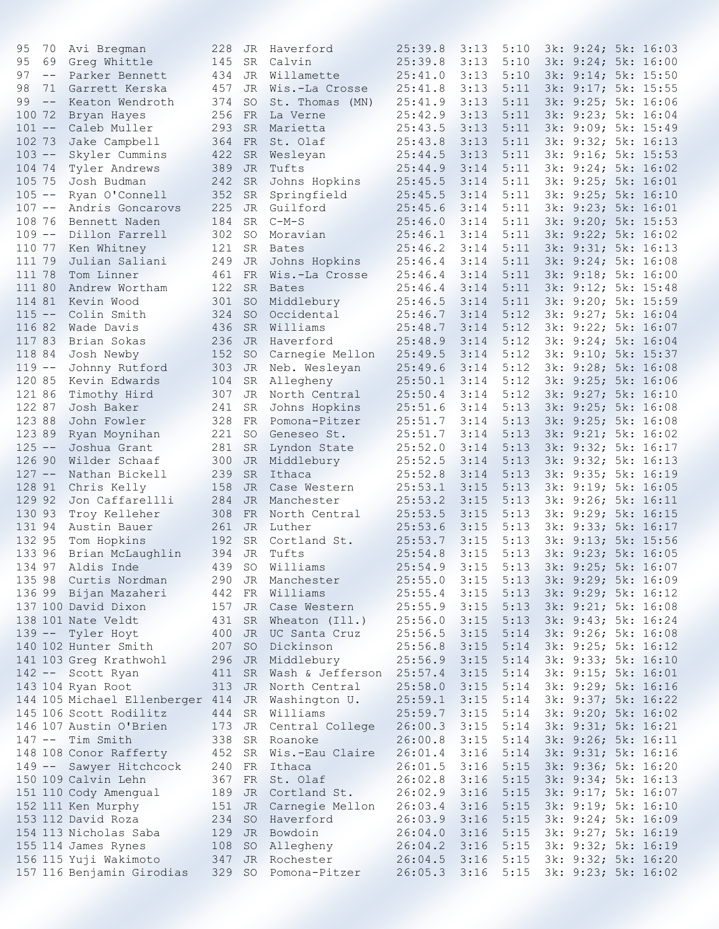| 95        | 70                | Avi Bregman                                      | 228    | JR        | Haverford                       | 25:39.8        | 3:13 | 5:10 | 3k: 9:24; 5k: 16:03      |                          |
|-----------|-------------------|--------------------------------------------------|--------|-----------|---------------------------------|----------------|------|------|--------------------------|--------------------------|
| 95        | 69                | Greg Whittle                                     | 145    | SR        | Calvin                          | 25:39.8        | 3:13 | 5:10 | 3k: 9:24; 5k: 16:00      |                          |
| 97        | $- -$             | Parker Bennett                                   | 434    | JR        | Willamette                      | 25:41.0        | 3:13 | 5:10 | 3k: 9:14; 5k: 15:50      |                          |
| 98        | 71                | Garrett Kerska                                   | 457    | JR        | Wis.-La Crosse                  | 25:41.8        | 3:13 | 5:11 | 3k: 9:17; 5k: 15:55      |                          |
| 99        | $\qquad \qquad -$ | Keaton Wendroth                                  | 374    | SO        | St. Thomas (MN)                 | 25:41.9        | 3:13 | 5:11 | 3k: 9:25; 5k: 16:06      |                          |
| 100 72    |                   | Bryan Hayes                                      | 256    | FR        | La Verne                        | 25:42.9        | 3:13 | 5:11 | 3k: 9:23; 5k: 16:04      |                          |
| $101 - -$ |                   | Caleb Muller                                     | 293    | <b>SR</b> | Marietta                        | 25:43.5        | 3:13 | 5:11 | 3k: 9:09; 5k: 15:49      |                          |
| 102 73    |                   | Jake Campbell                                    | 364    | FR        | St. Olaf                        | 25:43.8        | 3:13 | 5:11 | 3k: 9:32; 5k: 16:13      |                          |
| $103 - -$ |                   | Skyler Cummins                                   | 422    | <b>SR</b> | Wesleyan                        | 25:44.5        | 3:13 | 5:11 | 3k: 9:16; 5k: 15:53      |                          |
| 104 74    |                   | Tyler Andrews                                    | 389    | JR        | Tufts                           | 25:44.9        | 3:14 | 5:11 | 3k: 9:24; 5k: 16:02      |                          |
| 105 75    |                   | Josh Budman                                      | 242    |           |                                 |                |      | 5:11 | 3k: 9:25; 5k: 16:01      |                          |
|           |                   |                                                  |        | <b>SR</b> | Johns Hopkins                   | 25:45.5        | 3:14 |      |                          |                          |
| $105 - -$ |                   | Ryan O'Connell                                   | 352    | SR        | Springfield                     | 25:45.5        | 3:14 | 5:11 | 3k: 9:25; 5k: 16:10      |                          |
| $107 - -$ |                   | Andris Goncarovs                                 | 225    | JR        | Guilford                        | 25:45.6        | 3:14 | 5:11 | 3k: 9:23; 5k: 16:01      |                          |
| 108 76    |                   | Bennett Naden                                    | 184    | SR        | $C-M-S$                         | 25:46.0        | 3:14 | 5:11 | 3k: 9:20; 5k: 15:53      |                          |
| $109 - -$ |                   | Dillon Farrell                                   | 302    | SO        | Moravian                        | 25:46.1        | 3:14 | 5:11 | 3k: 9:22; 5k: 16:02      |                          |
| 110 77    |                   | Ken Whitney                                      | 121    | SR        | <b>Bates</b>                    | 25:46.2        | 3:14 | 5:11 | 3k: 9:31; 5k: 16:13      |                          |
| 111 79    |                   | Julian Saliani                                   | 249    | JR        | Johns Hopkins                   | 25:46.4        | 3:14 | 5:11 | 3k: 9:24; 5k: 16:08      |                          |
| 111 78    |                   | Tom Linner                                       | 461    | <b>FR</b> | Wis.-La Crosse                  | 25:46.4        | 3:14 | 5:11 | 3k: 9:18; 5k: 16:00      |                          |
| 111 80    |                   | Andrew Wortham                                   | 122    | <b>SR</b> | <b>Bates</b>                    | 25:46.4        | 3:14 | 5:11 | 3k: 9:12; 5k: 15:48      |                          |
| 114 81    |                   | Kevin Wood                                       | 301    | <b>SO</b> | Middlebury                      | 25:46.5        | 3:14 | 5:11 | 3k: 9:20; 5k: 15:59      |                          |
| $115 - -$ |                   | Colin Smith                                      | 324    | <b>SO</b> | Occidental                      | 25:46.7        | 3:14 | 5:12 | 3k: 9:27; 5k: 16:04      |                          |
| 116 82    |                   | Wade Davis                                       | 436    | SR        | Williams                        | 25:48.7        | 3:14 | 5:12 | 3k: 9:22; 5k: 16:07      |                          |
| 117 83    |                   | Brian Sokas                                      | 236    | JR        | Haverford                       | 25:48.9        | 3:14 | 5:12 | 3k: 9:24; 5k: 16:04      |                          |
| 118 84    |                   | Josh Newby                                       | 152    | <b>SO</b> | Carnegie Mellon                 | 25:49.5        | 3:14 | 5:12 | 3k: 9:10; 5k: 15:37      |                          |
| $119 - -$ |                   | Johnny Rutford                                   | 303    | JR        | Neb. Wesleyan                   | 25:49.6        | 3:14 | 5:12 | 3k: 9:28; 5k: 16:08      |                          |
| 120 85    |                   | Kevin Edwards                                    | 104    | SR        | Allegheny                       | 25:50.1        | 3:14 | 5:12 | 3k: 9:25; 5k: 16:06      |                          |
| 121 86    |                   | Timothy Hird                                     | 307    | JR        | North Central                   | 25:50.4        | 3:14 | 5:12 | 3k: 9:27; 5k: 16:10      |                          |
| 122 87    |                   | Josh Baker                                       | 241    | <b>SR</b> | Johns Hopkins                   | 25:51.6        | 3:14 | 5:13 | 3k: 9:25; 5k: 16:08      |                          |
| 123 88    |                   | John Fowler                                      | 328    | FR        | Pomona-Pitzer                   | 25:51.7        | 3:14 | 5:13 | 3k: 9:25; 5k: 16:08      |                          |
| 123 89    |                   | Ryan Moynihan                                    | 221    | <b>SO</b> | Geneseo St.                     | 25:51.7        | 3:14 | 5:13 | 3k: 9:21; 5k: 16:02      |                          |
| $125 - -$ |                   | Joshua Grant                                     |        |           |                                 |                |      |      | 3k: 9:32; 5k: 16:17      |                          |
|           |                   |                                                  | 281    | SR        | Lyndon State                    | 25:52.0        | 3:14 | 5:13 |                          |                          |
| 126 90    |                   | Wilder Schaaf                                    | 300    | JR        | Middlebury                      | 25:52.5        | 3:14 | 5:13 | 3k: 9:32; 5k: 16:13      |                          |
| $127 - -$ |                   | Nathan Bickell                                   | 239    | <b>SR</b> | Ithaca                          | 25:52.8        | 3:14 | 5:13 | 3k: 9:35; 5k: 16:19      |                          |
| 128 91    |                   | Chris Kelly                                      | 158    | JR        | Case Western                    | 25:53.1        | 3:15 | 5:13 | 3k: 9:19; 5k: 16:05      |                          |
| 129 92    |                   | Jon Caffarellli                                  | 284    | <b>JR</b> | Manchester                      | 25:53.2        | 3:15 | 5:13 | 3k: 9:26; 5k: 16:11      |                          |
| 130 93    |                   | Troy Kelleher                                    | 308    | FR        | North Central                   | 25:53.5        | 3:15 | 5:13 | 3k: 9:29; 5k: 16:15      |                          |
| 131 94    |                   | Austin Bauer                                     | 261    | JR        | Luther                          | 25:53.6        | 3:15 | 5:13 | 3k: 9:33; 5k: 16:17      |                          |
| 132 95    |                   | Tom Hopkins                                      | 192    | SR.       | Cortland St.                    | 25:53.7        | 3:15 | 5:13 | 3k: 9:13; 5k: 15:56      |                          |
| 133 96    |                   | Brian McLaughlin                                 | 394    | JR        | Tufts                           | 25:54.8        | 3:15 | 5:13 | 3k: 9:23; 5k: 16:05      |                          |
|           |                   | 134 97 Aldis Inde                                |        |           | 439 SO Williams                 | $25:54.9$ 3:15 |      |      |                          | 5:13 3k: 9:25; 5k: 16:07 |
|           |                   | 135 98 Curtis Nordman                            |        |           | 290 JR Manchester               | 25:55.0        | 3:15 |      | 5:13 3k: 9:29; 5k: 16:09 |                          |
|           |                   | 136 99 Bijan Mazaheri                            |        |           | 442 FR Williams                 | 25:55.4        | 3:15 | 5:13 | 3k: 9:29; 5k: 16:12      |                          |
|           |                   | 137 100 David Dixon                              | 157    |           | JR Case Western                 | 25:55.9        | 3:15 | 5:13 | 3k: 9:21; 5k: 16:08      |                          |
|           |                   | 138 101 Nate Veldt                               | 431    | SR        | Wheaton (Ill.) 25:56.0          |                | 3:15 | 5:13 | 3k: 9:43; 5k: 16:24      |                          |
|           |                   | 139 -- Tyler Hoyt                                | 400    |           | JR UC Santa Cruz                | 25:56.5        | 3:15 | 5:14 | 3k: 9:26; 5k: 16:08      |                          |
|           |                   | 140 102 Hunter Smith                             | 207 SO |           | Dickinson                       | 25:56.8        | 3:15 | 5:14 | 3k: 9:25; 5k: 16:12      |                          |
|           |                   | 141 103 Greg Krathwohl                           |        |           | 296 JR Middlebury               | 25:56.9        | 3:15 | 5:14 | 3k: 9:33; 5k: 16:10      |                          |
|           |                   | 142 -- Scott Ryan                                |        |           | 411 SR Wash & Jefferson 25:57.4 |                | 3:15 | 5:14 | 3k: 9:15; 5k: 16:01      |                          |
|           |                   | 143 104 Ryan Root                                | 313    |           | JR North Central                | 25:58.0        | 3:15 | 5:14 | 3k: 9:29; 5k: 16:16      |                          |
|           |                   | 144 105 Michael Ellenberger 414 JR Washington U. |        |           |                                 | 25:59.1        | 3:15 | 5:14 | 3k: 9:37; 5k: 16:22      |                          |
|           |                   | 145 106 Scott Rodilitz                           |        |           | 444 SR Williams                 | 25:59.7        | 3:15 | 5:14 | 3k: 9:20; 5k: 16:02      |                          |
|           |                   |                                                  |        |           |                                 |                |      |      |                          |                          |
|           |                   | 146 107 Austin O'Brien                           |        |           | 173 JR Central College          | 26:00.3        | 3:15 | 5:14 | 3k: 9:31; 5k: 16:21      |                          |
|           |                   | 147 -- Tim Smith                                 | 338    |           | SR Roanoke<br>77 M M            | 26:00.8        | 3:15 | 5:14 | 3k: 9:26; 5k: 16:11      |                          |
|           |                   | 148 108 Conor Rafferty                           | 452    |           | SR Wis.-Eau Claire              | 26:01.4        | 3:16 | 5:14 | 3k: 9:31; 5k: 16:16      |                          |
|           |                   | 149 -- Sawyer Hitchcock                          | 240 FR |           | Ithaca                          | 26:01.5        | 3:16 | 5:15 | 3k: 9:36; 5k: 16:20      |                          |
|           |                   | 150 109 Calvin Lehn                              |        |           | 367 FR St. Olaf                 | 26:02.8        | 3:16 | 5:15 | 3k: 9:34; 5k: 16:13      |                          |
|           |                   | 151 110 Cody Amengual                            | 189    |           | JR Cortland St.                 | 26:02.9        | 3:16 | 5:15 | 3k: 9:17; 5k: 16:07      |                          |
|           |                   | 152 111 Ken Murphy                               |        |           | 151 JR Carnegie Mellon          | 26:03.4        | 3:16 | 5:15 | 3k: 9:19; 5k: 16:10      |                          |
|           |                   | 153 112 David Roza                               | 234    |           | SO Haverford                    | 26:03.9        | 3:16 | 5:15 | 3k: 9:24; 5k: 16:09      |                          |
|           |                   | 154 113 Nicholas Saba                            | 129    |           | JR Bowdoin                      | 26:04.0        | 3:16 | 5:15 | 3k: 9:27; 5k: 16:19      |                          |
|           |                   | 155 114 James Rynes                              |        |           | 108 SO Allegheny 26:04.2        |                | 3:16 | 5:15 | 3k: 9:32; 5k: 16:19      |                          |
|           |                   | 156 115 Yuji Wakimoto                            |        |           | 347 JR Rochester                | 26:04.5        | 3:16 | 5:15 | 3k: 9:32; 5k: 16:20      |                          |
|           |                   | 157 116 Benjamin Girodias                        |        |           | 329 SO Pomona-Pitzer            | $26:05.3$ 3:16 |      | 5:15 | 3k: 9:23; 5k: 16:02      |                          |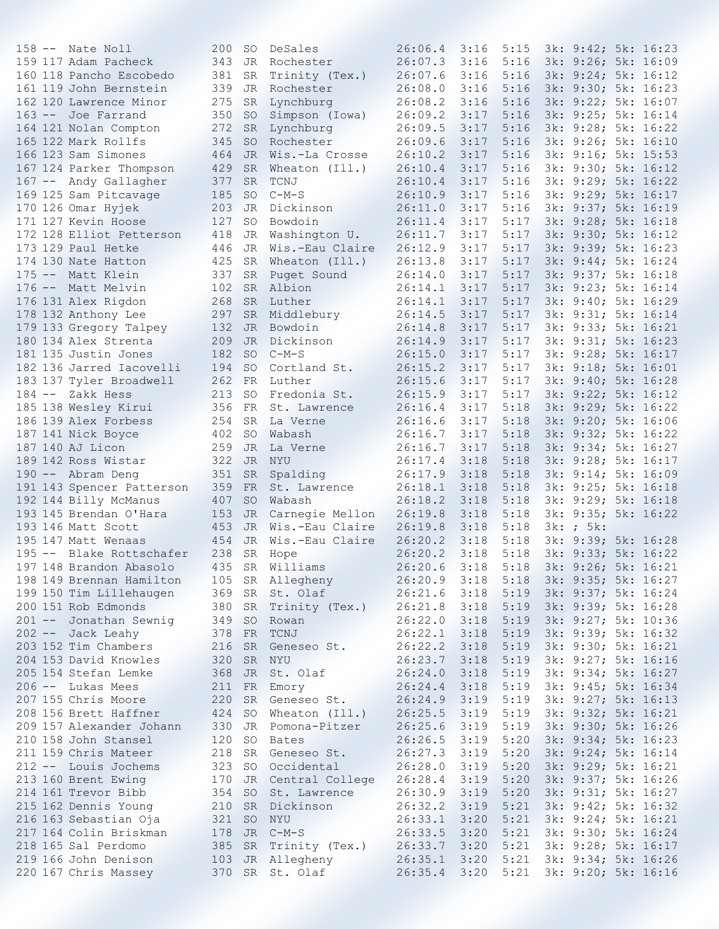| 343 JR Rochester<br>159 117 Adam Pacheck<br>26:07.3<br>3:16<br>5:16<br>160 118 Pancho Escobedo<br>381<br>26:07.6<br>3:16<br>5:16<br>SR<br>Trinity (Tex.)<br>339<br>Rochester<br>26:08.0<br>3:16<br>5:16<br>161 119 John Bernstein<br>JR<br>162 120 Lawrence Minor<br>275<br>Lynchburg<br>26:08.2<br>3:16<br>5:16<br>SR<br>350<br>26:09.2<br>3:17<br>5:16<br>163 -- Joe Farrand<br>Simpson (Iowa)<br>SO.<br>164 121 Nolan Compton<br>272<br>26:09.5<br>3:17<br>5:16<br><b>SR</b><br>Lynchburg<br>165 122 Mark Rollfs<br>345<br>Rochester<br>26:09.6<br>5:16<br><b>SO</b><br>3:17<br>166 123 Sam Simones<br>464<br>26:10.2<br>3:17<br>5:16<br>JR Wis.-La Crosse<br>167 124 Parker Thompson<br>429<br>26:10.4<br>3:17<br>5:16<br>SR.<br>Wheaton (Ill.)<br>167 -- Andy Gallagher<br>377<br>TCNJ<br>26:10.4<br>3:17<br>5:16<br><b>SR</b><br>169 125 Sam Pitcavage<br>26:10.9<br>3:17<br>5:16<br>185<br>SO.<br>$C-M-S$<br>170 126 Omar Hyjek<br>203<br>26:11.0<br>3:17<br>5:16<br>JR<br>Dickinson<br>127<br>26:11.4<br>3:17<br>5:17<br>171 127 Kevin Hoose<br><b>SO</b><br>Bowdoin<br>5:17<br>172 128 Elliot Petterson<br>418<br>26:11.7<br>3:17<br>JR<br>Washington U.<br>173 129 Paul Hetke<br>446<br>26:12.9<br>3:17<br>5:17<br>JR<br>Wis.-Eau Claire<br>174 130 Nate Hatton<br>425<br>26:13.8<br>3:17<br>5:17<br>SR<br>Wheaton (Ill.)<br>337<br>26:14.0<br>3:17<br>5:17<br>175 -- Matt Klein<br>SR<br>Puget Sound<br>$\mathcal{L}(\mathcal{L})$<br>176 -- Matt Melvin<br>102<br>SR Albion<br>26:14.1<br>3:17<br>5:17<br>176 131 Alex Rigdon<br>268<br>Luther<br>26:14.1<br>3:17<br>5:17<br>SR<br>178 132 Anthony Lee<br>297<br>26:14.5<br>3:17<br>5:17<br><b>SR</b><br>Middlebury<br>179 133 Gregory Talpey<br>132<br>Bowdoin<br>26:14.8<br>3:17<br>5:17<br>JR<br>209<br>Dickinson<br>26:14.9<br>3:17<br>5:17<br>3k: 9:31; 5k: 16:23<br>180 134 Alex Strenta<br>JR<br>182<br>5:17<br>181 135 Justin Jones<br>$C-M-S$<br>26:15.0<br>3:17<br>3k: 9:28; 5k: 16:17<br><b>SO</b><br>182 136 Jarred Iacovelli<br>194<br><b>SO</b><br>26:15.2<br>3:17<br>5:17<br>3k: 9:18; 5k: 16:01<br>Cortland St.<br>183 137 Tyler Broadwell<br>262 FR<br>26:15.6<br>3:17<br>5:17<br>3k: 9:40; 5k: 16:28<br>Luther<br>184 -- Zakk Hess<br>213<br>26:15.9<br>3:17<br>5:17<br>3k: 9:22; 5k: 16:12<br>SO.<br>Fredonia St.<br>185 138 Wesley Kirui<br>356 FR<br>26:16.4<br>3:17<br>5:18<br>3k: 9:29; 5k: 16:22<br>St. Lawrence<br>186 139 Alex Forbess<br>254<br>26:16.6<br>3:17<br>5:18<br>3k: 9:20; 5k: 16:06<br>SR<br>La Verne<br>402<br>3:17<br>5:18<br>3k: 9:32; 5k: 16:22<br>187 141 Nick Boyce<br>SO.<br>Wabash<br>26:16.7<br>187 140 AJ Licon<br>259<br>26:16.7<br>3:17<br>5:18<br>JR<br>3k: 9:34; 5k: 16:27<br>La Verne<br>322<br>26:17.4<br>3:18<br>5:18<br>3k: 9:28; 5k: 16:17<br>189 142 Ross Wistar<br>JR<br>NYU<br>351<br>26:17.9<br>3:18<br>5:18<br>3k: 9:14; 5k: 16:09<br>190 -- Abram Deng<br><b>SR</b><br>Spalding<br>359 FR<br>St. Lawrence<br>26:18.1<br>3:18<br>5:18<br>3k: 9:25; 5k: 16:18<br>191 143 Spencer Patterson<br>192 144 Billy McManus<br>407<br>26:18.2<br>3:18<br>5:18<br>3k: 9:29; 5k: 16:18<br>SO.<br>Wabash<br>193 145 Brendan O'Hara<br>153 JR Carnegie Mellon<br>26:19.8<br>3:18<br>5:18<br>3k: 9:35; 5k: 16:22<br>3k: ; 5k:<br>453 JR Wis.-Eau Claire<br>26:19.8<br>3:18<br>5:18<br>193 146 Matt Scott<br>195 147 Matt Wenaas<br>454 JR<br>26:20.2<br>3:18<br>5:18<br>3k: 9:39; 5k: 16:28<br>Wis.-Eau Claire<br>238<br>195 -- Blake Rottschafer<br>26:20.2<br>3:18<br>5:18<br>3k: 9:33; 5k: 16:22<br>SR<br>Hope<br>197 148 Brandon Abasolo<br>435<br>SR Williams<br>$26:20.6$ 3:18 5:18<br>3k: 9:26; 5k: 16:21<br>105 SR Allegheny 26:20.9 3:18<br>198 149 Brennan Hamilton<br>3k: 9:35; 5k: 16:27<br>5:18<br>199 150 Tim Lillehaugen 369 SR St. Olaf 26:21.6 3:18<br>5:19 3k: 9:37; 5k: 16:24<br>200 151 Rob Edmonds<br>3:18<br>5:19<br>3k: 9:39; 5k: 16:28<br>380 SR Trinity (Tex.) 26:21.8<br>201 -- Jonathan Sewnig 149 SO Rowan<br>202 -- Jack Leahy 1378 FR TCNJ<br>203 152 Tim Chambers 216 SR Genese<br>26:22.0 3:18<br>5:19<br>3k: 9:27; 5k: 10:36<br>Rowan<br>26:22.1 3:18<br>3k: 9:39; 5k: 16:32<br>5:19<br>3:18<br>216 SR Geneseo St.<br>26:22.2<br>5:19<br>3k: 9:30; 5k: 16:21<br>204 153 David Knowles<br>26:23.7<br>320<br>SR<br>3:18<br>5:19<br>3k: 9:27; 5k: 16:16<br>NYU<br>JR St. Olaf 26:24.0<br>205 154 Stefan Lemke<br>368<br>3:18<br>5:19<br>3k: 9:34; 5k: 16:27<br>206 -- Lukas Mees<br>211 FR Emory 26:24.4<br>3:18<br>5:19<br>3k: 9:45; 5k: 16:34<br>207 155 Chris Moore<br>220<br>SR Geneseo St.<br>26:24.9<br>3:19<br>5:19<br>3k: 9:27; 5k: 16:13<br>208 156 Brett Haffner 424 SO Wheaton (Ill.) 26:25.5<br>5:19<br>3:19<br>3k: 9:32; 5k: 16:21<br>209 157 Alexander Johann 330 JR Pomona-Pitzer 26:25.6<br>3:19<br>5:19<br>3k: 9:30; 5k: 16:26<br>210 158 John Stansel 120 SO<br>211 159 Chris Mateer 218 SR<br>5:20<br>Bates<br>26:26.5<br>3:19<br>3k: 9:34; 5k: 16:23<br>120 SO Bates<br>218 SR Geneseo St.<br>5:20<br>26:27.3<br>3:19<br>3k: 9:24; 5k: 16:14<br>212 -- Louis Jochems 323 SO Occidental<br>26:28.0<br>3:19<br>5:20<br>3k: 9:29; 5k: 16:21<br>213 160 Brent Ewing 170 JR Central College 26:28.4<br>3:19<br>5:20<br>3k: 9:37; 5k: 16:26<br>214 161 Trevor Bibb 354 SO<br>St. Lawrence<br>26:30.9<br>5:20<br>3:19<br>215 162 Dennis Young 210 SR<br>5:21<br>Dickinson<br>26:32.2<br>3:19<br>216 163 Sebastian Oja<br>321 SO<br>NYU<br>26:33.1<br>3:20<br>5:21<br>217 164 Colin Briskman 178 JR C-M-S<br>26:33.5<br>3:20<br>5:21 |  |  |  |         |      |      | 3k: 9:26; 5k: 16:09 |                     |
|--------------------------------------------------------------------------------------------------------------------------------------------------------------------------------------------------------------------------------------------------------------------------------------------------------------------------------------------------------------------------------------------------------------------------------------------------------------------------------------------------------------------------------------------------------------------------------------------------------------------------------------------------------------------------------------------------------------------------------------------------------------------------------------------------------------------------------------------------------------------------------------------------------------------------------------------------------------------------------------------------------------------------------------------------------------------------------------------------------------------------------------------------------------------------------------------------------------------------------------------------------------------------------------------------------------------------------------------------------------------------------------------------------------------------------------------------------------------------------------------------------------------------------------------------------------------------------------------------------------------------------------------------------------------------------------------------------------------------------------------------------------------------------------------------------------------------------------------------------------------------------------------------------------------------------------------------------------------------------------------------------------------------------------------------------------------------------------------------------------------------------------------------------------------------------------------------------------------------------------------------------------------------------------------------------------------------------------------------------------------------------------------------------------------------------------------------------------------------------------------------------------------------------------------------------------------------------------------------------------------------------------------------------------------------------------------------------------------------------------------------------------------------------------------------------------------------------------------------------------------------------------------------------------------------------------------------------------------------------------------------------------------------------------------------------------------------------------------------------------------------------------------------------------------------------------------------------------------------------------------------------------------------------------------------------------------------------------------------------------------------------------------------------------------------------------------------------------------------------------------------------------------------------------------------------------------------------------------------------------------------------------------------------------------------------------------------------------------------------------------------------------------------------------------------------------------------------------------------------------------------------------------------------------------------------------------------------------------------------------------------------------------------------------------------------------------------------------------------------------------------------------------------------------------------------------------------------------------------------------------------------------------------------------------------------------------------------------------------------------------------------------------------------------------------------------------------------------------------------------------------------------------------------------------------------------------------------------------------------------------------------------------------------------------------------------------------------------------------------------------------------------------------------------------------------------------------------------------------------------------------------------------------------------------------------------------------------------------------------------------------------------------------------------------------------------------------------------------------------------------------------------------------------------------------------------------------------------------------------------------------------------------------------------------------------------------------------------------------------------------------------------------------------------------------------------------------------------------------------------------|--|--|--|---------|------|------|---------------------|---------------------|
|                                                                                                                                                                                                                                                                                                                                                                                                                                                                                                                                                                                                                                                                                                                                                                                                                                                                                                                                                                                                                                                                                                                                                                                                                                                                                                                                                                                                                                                                                                                                                                                                                                                                                                                                                                                                                                                                                                                                                                                                                                                                                                                                                                                                                                                                                                                                                                                                                                                                                                                                                                                                                                                                                                                                                                                                                                                                                                                                                                                                                                                                                                                                                                                                                                                                                                                                                                                                                                                                                                                                                                                                                                                                                                                                                                                                                                                                                                                                                                                                                                                                                                                                                                                                                                                                                                                                                                                                                                                                                                                                                                                                                                                                                                                                                                                                                                                                                                                                                                                                                                                                                                                                                                                                                                                                                                                                                                                                                                                                                            |  |  |  |         |      |      |                     |                     |
|                                                                                                                                                                                                                                                                                                                                                                                                                                                                                                                                                                                                                                                                                                                                                                                                                                                                                                                                                                                                                                                                                                                                                                                                                                                                                                                                                                                                                                                                                                                                                                                                                                                                                                                                                                                                                                                                                                                                                                                                                                                                                                                                                                                                                                                                                                                                                                                                                                                                                                                                                                                                                                                                                                                                                                                                                                                                                                                                                                                                                                                                                                                                                                                                                                                                                                                                                                                                                                                                                                                                                                                                                                                                                                                                                                                                                                                                                                                                                                                                                                                                                                                                                                                                                                                                                                                                                                                                                                                                                                                                                                                                                                                                                                                                                                                                                                                                                                                                                                                                                                                                                                                                                                                                                                                                                                                                                                                                                                                                                            |  |  |  |         |      |      |                     | 3k: 9:24; 5k: 16:12 |
|                                                                                                                                                                                                                                                                                                                                                                                                                                                                                                                                                                                                                                                                                                                                                                                                                                                                                                                                                                                                                                                                                                                                                                                                                                                                                                                                                                                                                                                                                                                                                                                                                                                                                                                                                                                                                                                                                                                                                                                                                                                                                                                                                                                                                                                                                                                                                                                                                                                                                                                                                                                                                                                                                                                                                                                                                                                                                                                                                                                                                                                                                                                                                                                                                                                                                                                                                                                                                                                                                                                                                                                                                                                                                                                                                                                                                                                                                                                                                                                                                                                                                                                                                                                                                                                                                                                                                                                                                                                                                                                                                                                                                                                                                                                                                                                                                                                                                                                                                                                                                                                                                                                                                                                                                                                                                                                                                                                                                                                                                            |  |  |  |         |      |      | 3k: 9:30; 5k: 16:23 |                     |
|                                                                                                                                                                                                                                                                                                                                                                                                                                                                                                                                                                                                                                                                                                                                                                                                                                                                                                                                                                                                                                                                                                                                                                                                                                                                                                                                                                                                                                                                                                                                                                                                                                                                                                                                                                                                                                                                                                                                                                                                                                                                                                                                                                                                                                                                                                                                                                                                                                                                                                                                                                                                                                                                                                                                                                                                                                                                                                                                                                                                                                                                                                                                                                                                                                                                                                                                                                                                                                                                                                                                                                                                                                                                                                                                                                                                                                                                                                                                                                                                                                                                                                                                                                                                                                                                                                                                                                                                                                                                                                                                                                                                                                                                                                                                                                                                                                                                                                                                                                                                                                                                                                                                                                                                                                                                                                                                                                                                                                                                                            |  |  |  |         |      |      | 3k: 9:22; 5k: 16:07 |                     |
|                                                                                                                                                                                                                                                                                                                                                                                                                                                                                                                                                                                                                                                                                                                                                                                                                                                                                                                                                                                                                                                                                                                                                                                                                                                                                                                                                                                                                                                                                                                                                                                                                                                                                                                                                                                                                                                                                                                                                                                                                                                                                                                                                                                                                                                                                                                                                                                                                                                                                                                                                                                                                                                                                                                                                                                                                                                                                                                                                                                                                                                                                                                                                                                                                                                                                                                                                                                                                                                                                                                                                                                                                                                                                                                                                                                                                                                                                                                                                                                                                                                                                                                                                                                                                                                                                                                                                                                                                                                                                                                                                                                                                                                                                                                                                                                                                                                                                                                                                                                                                                                                                                                                                                                                                                                                                                                                                                                                                                                                                            |  |  |  |         |      |      | 3k: 9:25; 5k: 16:14 |                     |
|                                                                                                                                                                                                                                                                                                                                                                                                                                                                                                                                                                                                                                                                                                                                                                                                                                                                                                                                                                                                                                                                                                                                                                                                                                                                                                                                                                                                                                                                                                                                                                                                                                                                                                                                                                                                                                                                                                                                                                                                                                                                                                                                                                                                                                                                                                                                                                                                                                                                                                                                                                                                                                                                                                                                                                                                                                                                                                                                                                                                                                                                                                                                                                                                                                                                                                                                                                                                                                                                                                                                                                                                                                                                                                                                                                                                                                                                                                                                                                                                                                                                                                                                                                                                                                                                                                                                                                                                                                                                                                                                                                                                                                                                                                                                                                                                                                                                                                                                                                                                                                                                                                                                                                                                                                                                                                                                                                                                                                                                                            |  |  |  |         |      |      | 3k: 9:28; 5k: 16:22 |                     |
|                                                                                                                                                                                                                                                                                                                                                                                                                                                                                                                                                                                                                                                                                                                                                                                                                                                                                                                                                                                                                                                                                                                                                                                                                                                                                                                                                                                                                                                                                                                                                                                                                                                                                                                                                                                                                                                                                                                                                                                                                                                                                                                                                                                                                                                                                                                                                                                                                                                                                                                                                                                                                                                                                                                                                                                                                                                                                                                                                                                                                                                                                                                                                                                                                                                                                                                                                                                                                                                                                                                                                                                                                                                                                                                                                                                                                                                                                                                                                                                                                                                                                                                                                                                                                                                                                                                                                                                                                                                                                                                                                                                                                                                                                                                                                                                                                                                                                                                                                                                                                                                                                                                                                                                                                                                                                                                                                                                                                                                                                            |  |  |  |         |      |      | 3k: 9:26; 5k: 16:10 |                     |
|                                                                                                                                                                                                                                                                                                                                                                                                                                                                                                                                                                                                                                                                                                                                                                                                                                                                                                                                                                                                                                                                                                                                                                                                                                                                                                                                                                                                                                                                                                                                                                                                                                                                                                                                                                                                                                                                                                                                                                                                                                                                                                                                                                                                                                                                                                                                                                                                                                                                                                                                                                                                                                                                                                                                                                                                                                                                                                                                                                                                                                                                                                                                                                                                                                                                                                                                                                                                                                                                                                                                                                                                                                                                                                                                                                                                                                                                                                                                                                                                                                                                                                                                                                                                                                                                                                                                                                                                                                                                                                                                                                                                                                                                                                                                                                                                                                                                                                                                                                                                                                                                                                                                                                                                                                                                                                                                                                                                                                                                                            |  |  |  |         |      |      | 3k: 9:16; 5k: 15:53 |                     |
|                                                                                                                                                                                                                                                                                                                                                                                                                                                                                                                                                                                                                                                                                                                                                                                                                                                                                                                                                                                                                                                                                                                                                                                                                                                                                                                                                                                                                                                                                                                                                                                                                                                                                                                                                                                                                                                                                                                                                                                                                                                                                                                                                                                                                                                                                                                                                                                                                                                                                                                                                                                                                                                                                                                                                                                                                                                                                                                                                                                                                                                                                                                                                                                                                                                                                                                                                                                                                                                                                                                                                                                                                                                                                                                                                                                                                                                                                                                                                                                                                                                                                                                                                                                                                                                                                                                                                                                                                                                                                                                                                                                                                                                                                                                                                                                                                                                                                                                                                                                                                                                                                                                                                                                                                                                                                                                                                                                                                                                                                            |  |  |  |         |      |      | 3k: 9:30; 5k: 16:12 |                     |
|                                                                                                                                                                                                                                                                                                                                                                                                                                                                                                                                                                                                                                                                                                                                                                                                                                                                                                                                                                                                                                                                                                                                                                                                                                                                                                                                                                                                                                                                                                                                                                                                                                                                                                                                                                                                                                                                                                                                                                                                                                                                                                                                                                                                                                                                                                                                                                                                                                                                                                                                                                                                                                                                                                                                                                                                                                                                                                                                                                                                                                                                                                                                                                                                                                                                                                                                                                                                                                                                                                                                                                                                                                                                                                                                                                                                                                                                                                                                                                                                                                                                                                                                                                                                                                                                                                                                                                                                                                                                                                                                                                                                                                                                                                                                                                                                                                                                                                                                                                                                                                                                                                                                                                                                                                                                                                                                                                                                                                                                                            |  |  |  |         |      |      | 3k: 9:29; 5k: 16:22 |                     |
|                                                                                                                                                                                                                                                                                                                                                                                                                                                                                                                                                                                                                                                                                                                                                                                                                                                                                                                                                                                                                                                                                                                                                                                                                                                                                                                                                                                                                                                                                                                                                                                                                                                                                                                                                                                                                                                                                                                                                                                                                                                                                                                                                                                                                                                                                                                                                                                                                                                                                                                                                                                                                                                                                                                                                                                                                                                                                                                                                                                                                                                                                                                                                                                                                                                                                                                                                                                                                                                                                                                                                                                                                                                                                                                                                                                                                                                                                                                                                                                                                                                                                                                                                                                                                                                                                                                                                                                                                                                                                                                                                                                                                                                                                                                                                                                                                                                                                                                                                                                                                                                                                                                                                                                                                                                                                                                                                                                                                                                                                            |  |  |  |         |      |      | 3k: 9:29; 5k: 16:17 |                     |
|                                                                                                                                                                                                                                                                                                                                                                                                                                                                                                                                                                                                                                                                                                                                                                                                                                                                                                                                                                                                                                                                                                                                                                                                                                                                                                                                                                                                                                                                                                                                                                                                                                                                                                                                                                                                                                                                                                                                                                                                                                                                                                                                                                                                                                                                                                                                                                                                                                                                                                                                                                                                                                                                                                                                                                                                                                                                                                                                                                                                                                                                                                                                                                                                                                                                                                                                                                                                                                                                                                                                                                                                                                                                                                                                                                                                                                                                                                                                                                                                                                                                                                                                                                                                                                                                                                                                                                                                                                                                                                                                                                                                                                                                                                                                                                                                                                                                                                                                                                                                                                                                                                                                                                                                                                                                                                                                                                                                                                                                                            |  |  |  |         |      |      | 3k: 9:37; 5k: 16:19 |                     |
|                                                                                                                                                                                                                                                                                                                                                                                                                                                                                                                                                                                                                                                                                                                                                                                                                                                                                                                                                                                                                                                                                                                                                                                                                                                                                                                                                                                                                                                                                                                                                                                                                                                                                                                                                                                                                                                                                                                                                                                                                                                                                                                                                                                                                                                                                                                                                                                                                                                                                                                                                                                                                                                                                                                                                                                                                                                                                                                                                                                                                                                                                                                                                                                                                                                                                                                                                                                                                                                                                                                                                                                                                                                                                                                                                                                                                                                                                                                                                                                                                                                                                                                                                                                                                                                                                                                                                                                                                                                                                                                                                                                                                                                                                                                                                                                                                                                                                                                                                                                                                                                                                                                                                                                                                                                                                                                                                                                                                                                                                            |  |  |  |         |      |      | 3k: 9:28; 5k: 16:18 |                     |
|                                                                                                                                                                                                                                                                                                                                                                                                                                                                                                                                                                                                                                                                                                                                                                                                                                                                                                                                                                                                                                                                                                                                                                                                                                                                                                                                                                                                                                                                                                                                                                                                                                                                                                                                                                                                                                                                                                                                                                                                                                                                                                                                                                                                                                                                                                                                                                                                                                                                                                                                                                                                                                                                                                                                                                                                                                                                                                                                                                                                                                                                                                                                                                                                                                                                                                                                                                                                                                                                                                                                                                                                                                                                                                                                                                                                                                                                                                                                                                                                                                                                                                                                                                                                                                                                                                                                                                                                                                                                                                                                                                                                                                                                                                                                                                                                                                                                                                                                                                                                                                                                                                                                                                                                                                                                                                                                                                                                                                                                                            |  |  |  |         |      |      | 3k: 9:30; 5k: 16:12 |                     |
|                                                                                                                                                                                                                                                                                                                                                                                                                                                                                                                                                                                                                                                                                                                                                                                                                                                                                                                                                                                                                                                                                                                                                                                                                                                                                                                                                                                                                                                                                                                                                                                                                                                                                                                                                                                                                                                                                                                                                                                                                                                                                                                                                                                                                                                                                                                                                                                                                                                                                                                                                                                                                                                                                                                                                                                                                                                                                                                                                                                                                                                                                                                                                                                                                                                                                                                                                                                                                                                                                                                                                                                                                                                                                                                                                                                                                                                                                                                                                                                                                                                                                                                                                                                                                                                                                                                                                                                                                                                                                                                                                                                                                                                                                                                                                                                                                                                                                                                                                                                                                                                                                                                                                                                                                                                                                                                                                                                                                                                                                            |  |  |  |         |      |      | 3k: 9:39; 5k: 16:23 |                     |
|                                                                                                                                                                                                                                                                                                                                                                                                                                                                                                                                                                                                                                                                                                                                                                                                                                                                                                                                                                                                                                                                                                                                                                                                                                                                                                                                                                                                                                                                                                                                                                                                                                                                                                                                                                                                                                                                                                                                                                                                                                                                                                                                                                                                                                                                                                                                                                                                                                                                                                                                                                                                                                                                                                                                                                                                                                                                                                                                                                                                                                                                                                                                                                                                                                                                                                                                                                                                                                                                                                                                                                                                                                                                                                                                                                                                                                                                                                                                                                                                                                                                                                                                                                                                                                                                                                                                                                                                                                                                                                                                                                                                                                                                                                                                                                                                                                                                                                                                                                                                                                                                                                                                                                                                                                                                                                                                                                                                                                                                                            |  |  |  |         |      |      | 3k: 9:44; 5k: 16:24 |                     |
|                                                                                                                                                                                                                                                                                                                                                                                                                                                                                                                                                                                                                                                                                                                                                                                                                                                                                                                                                                                                                                                                                                                                                                                                                                                                                                                                                                                                                                                                                                                                                                                                                                                                                                                                                                                                                                                                                                                                                                                                                                                                                                                                                                                                                                                                                                                                                                                                                                                                                                                                                                                                                                                                                                                                                                                                                                                                                                                                                                                                                                                                                                                                                                                                                                                                                                                                                                                                                                                                                                                                                                                                                                                                                                                                                                                                                                                                                                                                                                                                                                                                                                                                                                                                                                                                                                                                                                                                                                                                                                                                                                                                                                                                                                                                                                                                                                                                                                                                                                                                                                                                                                                                                                                                                                                                                                                                                                                                                                                                                            |  |  |  |         |      |      | 3k: 9:37; 5k: 16:18 |                     |
|                                                                                                                                                                                                                                                                                                                                                                                                                                                                                                                                                                                                                                                                                                                                                                                                                                                                                                                                                                                                                                                                                                                                                                                                                                                                                                                                                                                                                                                                                                                                                                                                                                                                                                                                                                                                                                                                                                                                                                                                                                                                                                                                                                                                                                                                                                                                                                                                                                                                                                                                                                                                                                                                                                                                                                                                                                                                                                                                                                                                                                                                                                                                                                                                                                                                                                                                                                                                                                                                                                                                                                                                                                                                                                                                                                                                                                                                                                                                                                                                                                                                                                                                                                                                                                                                                                                                                                                                                                                                                                                                                                                                                                                                                                                                                                                                                                                                                                                                                                                                                                                                                                                                                                                                                                                                                                                                                                                                                                                                                            |  |  |  |         |      |      | 3k: 9:23; 5k: 16:14 |                     |
|                                                                                                                                                                                                                                                                                                                                                                                                                                                                                                                                                                                                                                                                                                                                                                                                                                                                                                                                                                                                                                                                                                                                                                                                                                                                                                                                                                                                                                                                                                                                                                                                                                                                                                                                                                                                                                                                                                                                                                                                                                                                                                                                                                                                                                                                                                                                                                                                                                                                                                                                                                                                                                                                                                                                                                                                                                                                                                                                                                                                                                                                                                                                                                                                                                                                                                                                                                                                                                                                                                                                                                                                                                                                                                                                                                                                                                                                                                                                                                                                                                                                                                                                                                                                                                                                                                                                                                                                                                                                                                                                                                                                                                                                                                                                                                                                                                                                                                                                                                                                                                                                                                                                                                                                                                                                                                                                                                                                                                                                                            |  |  |  |         |      |      | 3k: 9:40; 5k: 16:29 |                     |
|                                                                                                                                                                                                                                                                                                                                                                                                                                                                                                                                                                                                                                                                                                                                                                                                                                                                                                                                                                                                                                                                                                                                                                                                                                                                                                                                                                                                                                                                                                                                                                                                                                                                                                                                                                                                                                                                                                                                                                                                                                                                                                                                                                                                                                                                                                                                                                                                                                                                                                                                                                                                                                                                                                                                                                                                                                                                                                                                                                                                                                                                                                                                                                                                                                                                                                                                                                                                                                                                                                                                                                                                                                                                                                                                                                                                                                                                                                                                                                                                                                                                                                                                                                                                                                                                                                                                                                                                                                                                                                                                                                                                                                                                                                                                                                                                                                                                                                                                                                                                                                                                                                                                                                                                                                                                                                                                                                                                                                                                                            |  |  |  |         |      |      | 3k: 9:31; 5k: 16:14 |                     |
|                                                                                                                                                                                                                                                                                                                                                                                                                                                                                                                                                                                                                                                                                                                                                                                                                                                                                                                                                                                                                                                                                                                                                                                                                                                                                                                                                                                                                                                                                                                                                                                                                                                                                                                                                                                                                                                                                                                                                                                                                                                                                                                                                                                                                                                                                                                                                                                                                                                                                                                                                                                                                                                                                                                                                                                                                                                                                                                                                                                                                                                                                                                                                                                                                                                                                                                                                                                                                                                                                                                                                                                                                                                                                                                                                                                                                                                                                                                                                                                                                                                                                                                                                                                                                                                                                                                                                                                                                                                                                                                                                                                                                                                                                                                                                                                                                                                                                                                                                                                                                                                                                                                                                                                                                                                                                                                                                                                                                                                                                            |  |  |  |         |      |      | 3k: 9:33; 5k: 16:21 |                     |
|                                                                                                                                                                                                                                                                                                                                                                                                                                                                                                                                                                                                                                                                                                                                                                                                                                                                                                                                                                                                                                                                                                                                                                                                                                                                                                                                                                                                                                                                                                                                                                                                                                                                                                                                                                                                                                                                                                                                                                                                                                                                                                                                                                                                                                                                                                                                                                                                                                                                                                                                                                                                                                                                                                                                                                                                                                                                                                                                                                                                                                                                                                                                                                                                                                                                                                                                                                                                                                                                                                                                                                                                                                                                                                                                                                                                                                                                                                                                                                                                                                                                                                                                                                                                                                                                                                                                                                                                                                                                                                                                                                                                                                                                                                                                                                                                                                                                                                                                                                                                                                                                                                                                                                                                                                                                                                                                                                                                                                                                                            |  |  |  |         |      |      |                     |                     |
|                                                                                                                                                                                                                                                                                                                                                                                                                                                                                                                                                                                                                                                                                                                                                                                                                                                                                                                                                                                                                                                                                                                                                                                                                                                                                                                                                                                                                                                                                                                                                                                                                                                                                                                                                                                                                                                                                                                                                                                                                                                                                                                                                                                                                                                                                                                                                                                                                                                                                                                                                                                                                                                                                                                                                                                                                                                                                                                                                                                                                                                                                                                                                                                                                                                                                                                                                                                                                                                                                                                                                                                                                                                                                                                                                                                                                                                                                                                                                                                                                                                                                                                                                                                                                                                                                                                                                                                                                                                                                                                                                                                                                                                                                                                                                                                                                                                                                                                                                                                                                                                                                                                                                                                                                                                                                                                                                                                                                                                                                            |  |  |  |         |      |      |                     |                     |
|                                                                                                                                                                                                                                                                                                                                                                                                                                                                                                                                                                                                                                                                                                                                                                                                                                                                                                                                                                                                                                                                                                                                                                                                                                                                                                                                                                                                                                                                                                                                                                                                                                                                                                                                                                                                                                                                                                                                                                                                                                                                                                                                                                                                                                                                                                                                                                                                                                                                                                                                                                                                                                                                                                                                                                                                                                                                                                                                                                                                                                                                                                                                                                                                                                                                                                                                                                                                                                                                                                                                                                                                                                                                                                                                                                                                                                                                                                                                                                                                                                                                                                                                                                                                                                                                                                                                                                                                                                                                                                                                                                                                                                                                                                                                                                                                                                                                                                                                                                                                                                                                                                                                                                                                                                                                                                                                                                                                                                                                                            |  |  |  |         |      |      |                     |                     |
|                                                                                                                                                                                                                                                                                                                                                                                                                                                                                                                                                                                                                                                                                                                                                                                                                                                                                                                                                                                                                                                                                                                                                                                                                                                                                                                                                                                                                                                                                                                                                                                                                                                                                                                                                                                                                                                                                                                                                                                                                                                                                                                                                                                                                                                                                                                                                                                                                                                                                                                                                                                                                                                                                                                                                                                                                                                                                                                                                                                                                                                                                                                                                                                                                                                                                                                                                                                                                                                                                                                                                                                                                                                                                                                                                                                                                                                                                                                                                                                                                                                                                                                                                                                                                                                                                                                                                                                                                                                                                                                                                                                                                                                                                                                                                                                                                                                                                                                                                                                                                                                                                                                                                                                                                                                                                                                                                                                                                                                                                            |  |  |  |         |      |      |                     |                     |
|                                                                                                                                                                                                                                                                                                                                                                                                                                                                                                                                                                                                                                                                                                                                                                                                                                                                                                                                                                                                                                                                                                                                                                                                                                                                                                                                                                                                                                                                                                                                                                                                                                                                                                                                                                                                                                                                                                                                                                                                                                                                                                                                                                                                                                                                                                                                                                                                                                                                                                                                                                                                                                                                                                                                                                                                                                                                                                                                                                                                                                                                                                                                                                                                                                                                                                                                                                                                                                                                                                                                                                                                                                                                                                                                                                                                                                                                                                                                                                                                                                                                                                                                                                                                                                                                                                                                                                                                                                                                                                                                                                                                                                                                                                                                                                                                                                                                                                                                                                                                                                                                                                                                                                                                                                                                                                                                                                                                                                                                                            |  |  |  |         |      |      |                     |                     |
|                                                                                                                                                                                                                                                                                                                                                                                                                                                                                                                                                                                                                                                                                                                                                                                                                                                                                                                                                                                                                                                                                                                                                                                                                                                                                                                                                                                                                                                                                                                                                                                                                                                                                                                                                                                                                                                                                                                                                                                                                                                                                                                                                                                                                                                                                                                                                                                                                                                                                                                                                                                                                                                                                                                                                                                                                                                                                                                                                                                                                                                                                                                                                                                                                                                                                                                                                                                                                                                                                                                                                                                                                                                                                                                                                                                                                                                                                                                                                                                                                                                                                                                                                                                                                                                                                                                                                                                                                                                                                                                                                                                                                                                                                                                                                                                                                                                                                                                                                                                                                                                                                                                                                                                                                                                                                                                                                                                                                                                                                            |  |  |  |         |      |      |                     |                     |
|                                                                                                                                                                                                                                                                                                                                                                                                                                                                                                                                                                                                                                                                                                                                                                                                                                                                                                                                                                                                                                                                                                                                                                                                                                                                                                                                                                                                                                                                                                                                                                                                                                                                                                                                                                                                                                                                                                                                                                                                                                                                                                                                                                                                                                                                                                                                                                                                                                                                                                                                                                                                                                                                                                                                                                                                                                                                                                                                                                                                                                                                                                                                                                                                                                                                                                                                                                                                                                                                                                                                                                                                                                                                                                                                                                                                                                                                                                                                                                                                                                                                                                                                                                                                                                                                                                                                                                                                                                                                                                                                                                                                                                                                                                                                                                                                                                                                                                                                                                                                                                                                                                                                                                                                                                                                                                                                                                                                                                                                                            |  |  |  |         |      |      |                     |                     |
|                                                                                                                                                                                                                                                                                                                                                                                                                                                                                                                                                                                                                                                                                                                                                                                                                                                                                                                                                                                                                                                                                                                                                                                                                                                                                                                                                                                                                                                                                                                                                                                                                                                                                                                                                                                                                                                                                                                                                                                                                                                                                                                                                                                                                                                                                                                                                                                                                                                                                                                                                                                                                                                                                                                                                                                                                                                                                                                                                                                                                                                                                                                                                                                                                                                                                                                                                                                                                                                                                                                                                                                                                                                                                                                                                                                                                                                                                                                                                                                                                                                                                                                                                                                                                                                                                                                                                                                                                                                                                                                                                                                                                                                                                                                                                                                                                                                                                                                                                                                                                                                                                                                                                                                                                                                                                                                                                                                                                                                                                            |  |  |  |         |      |      |                     |                     |
|                                                                                                                                                                                                                                                                                                                                                                                                                                                                                                                                                                                                                                                                                                                                                                                                                                                                                                                                                                                                                                                                                                                                                                                                                                                                                                                                                                                                                                                                                                                                                                                                                                                                                                                                                                                                                                                                                                                                                                                                                                                                                                                                                                                                                                                                                                                                                                                                                                                                                                                                                                                                                                                                                                                                                                                                                                                                                                                                                                                                                                                                                                                                                                                                                                                                                                                                                                                                                                                                                                                                                                                                                                                                                                                                                                                                                                                                                                                                                                                                                                                                                                                                                                                                                                                                                                                                                                                                                                                                                                                                                                                                                                                                                                                                                                                                                                                                                                                                                                                                                                                                                                                                                                                                                                                                                                                                                                                                                                                                                            |  |  |  |         |      |      |                     |                     |
|                                                                                                                                                                                                                                                                                                                                                                                                                                                                                                                                                                                                                                                                                                                                                                                                                                                                                                                                                                                                                                                                                                                                                                                                                                                                                                                                                                                                                                                                                                                                                                                                                                                                                                                                                                                                                                                                                                                                                                                                                                                                                                                                                                                                                                                                                                                                                                                                                                                                                                                                                                                                                                                                                                                                                                                                                                                                                                                                                                                                                                                                                                                                                                                                                                                                                                                                                                                                                                                                                                                                                                                                                                                                                                                                                                                                                                                                                                                                                                                                                                                                                                                                                                                                                                                                                                                                                                                                                                                                                                                                                                                                                                                                                                                                                                                                                                                                                                                                                                                                                                                                                                                                                                                                                                                                                                                                                                                                                                                                                            |  |  |  |         |      |      |                     |                     |
|                                                                                                                                                                                                                                                                                                                                                                                                                                                                                                                                                                                                                                                                                                                                                                                                                                                                                                                                                                                                                                                                                                                                                                                                                                                                                                                                                                                                                                                                                                                                                                                                                                                                                                                                                                                                                                                                                                                                                                                                                                                                                                                                                                                                                                                                                                                                                                                                                                                                                                                                                                                                                                                                                                                                                                                                                                                                                                                                                                                                                                                                                                                                                                                                                                                                                                                                                                                                                                                                                                                                                                                                                                                                                                                                                                                                                                                                                                                                                                                                                                                                                                                                                                                                                                                                                                                                                                                                                                                                                                                                                                                                                                                                                                                                                                                                                                                                                                                                                                                                                                                                                                                                                                                                                                                                                                                                                                                                                                                                                            |  |  |  |         |      |      |                     |                     |
|                                                                                                                                                                                                                                                                                                                                                                                                                                                                                                                                                                                                                                                                                                                                                                                                                                                                                                                                                                                                                                                                                                                                                                                                                                                                                                                                                                                                                                                                                                                                                                                                                                                                                                                                                                                                                                                                                                                                                                                                                                                                                                                                                                                                                                                                                                                                                                                                                                                                                                                                                                                                                                                                                                                                                                                                                                                                                                                                                                                                                                                                                                                                                                                                                                                                                                                                                                                                                                                                                                                                                                                                                                                                                                                                                                                                                                                                                                                                                                                                                                                                                                                                                                                                                                                                                                                                                                                                                                                                                                                                                                                                                                                                                                                                                                                                                                                                                                                                                                                                                                                                                                                                                                                                                                                                                                                                                                                                                                                                                            |  |  |  |         |      |      |                     |                     |
|                                                                                                                                                                                                                                                                                                                                                                                                                                                                                                                                                                                                                                                                                                                                                                                                                                                                                                                                                                                                                                                                                                                                                                                                                                                                                                                                                                                                                                                                                                                                                                                                                                                                                                                                                                                                                                                                                                                                                                                                                                                                                                                                                                                                                                                                                                                                                                                                                                                                                                                                                                                                                                                                                                                                                                                                                                                                                                                                                                                                                                                                                                                                                                                                                                                                                                                                                                                                                                                                                                                                                                                                                                                                                                                                                                                                                                                                                                                                                                                                                                                                                                                                                                                                                                                                                                                                                                                                                                                                                                                                                                                                                                                                                                                                                                                                                                                                                                                                                                                                                                                                                                                                                                                                                                                                                                                                                                                                                                                                                            |  |  |  |         |      |      |                     |                     |
|                                                                                                                                                                                                                                                                                                                                                                                                                                                                                                                                                                                                                                                                                                                                                                                                                                                                                                                                                                                                                                                                                                                                                                                                                                                                                                                                                                                                                                                                                                                                                                                                                                                                                                                                                                                                                                                                                                                                                                                                                                                                                                                                                                                                                                                                                                                                                                                                                                                                                                                                                                                                                                                                                                                                                                                                                                                                                                                                                                                                                                                                                                                                                                                                                                                                                                                                                                                                                                                                                                                                                                                                                                                                                                                                                                                                                                                                                                                                                                                                                                                                                                                                                                                                                                                                                                                                                                                                                                                                                                                                                                                                                                                                                                                                                                                                                                                                                                                                                                                                                                                                                                                                                                                                                                                                                                                                                                                                                                                                                            |  |  |  |         |      |      |                     |                     |
|                                                                                                                                                                                                                                                                                                                                                                                                                                                                                                                                                                                                                                                                                                                                                                                                                                                                                                                                                                                                                                                                                                                                                                                                                                                                                                                                                                                                                                                                                                                                                                                                                                                                                                                                                                                                                                                                                                                                                                                                                                                                                                                                                                                                                                                                                                                                                                                                                                                                                                                                                                                                                                                                                                                                                                                                                                                                                                                                                                                                                                                                                                                                                                                                                                                                                                                                                                                                                                                                                                                                                                                                                                                                                                                                                                                                                                                                                                                                                                                                                                                                                                                                                                                                                                                                                                                                                                                                                                                                                                                                                                                                                                                                                                                                                                                                                                                                                                                                                                                                                                                                                                                                                                                                                                                                                                                                                                                                                                                                                            |  |  |  |         |      |      |                     |                     |
|                                                                                                                                                                                                                                                                                                                                                                                                                                                                                                                                                                                                                                                                                                                                                                                                                                                                                                                                                                                                                                                                                                                                                                                                                                                                                                                                                                                                                                                                                                                                                                                                                                                                                                                                                                                                                                                                                                                                                                                                                                                                                                                                                                                                                                                                                                                                                                                                                                                                                                                                                                                                                                                                                                                                                                                                                                                                                                                                                                                                                                                                                                                                                                                                                                                                                                                                                                                                                                                                                                                                                                                                                                                                                                                                                                                                                                                                                                                                                                                                                                                                                                                                                                                                                                                                                                                                                                                                                                                                                                                                                                                                                                                                                                                                                                                                                                                                                                                                                                                                                                                                                                                                                                                                                                                                                                                                                                                                                                                                                            |  |  |  |         |      |      |                     |                     |
|                                                                                                                                                                                                                                                                                                                                                                                                                                                                                                                                                                                                                                                                                                                                                                                                                                                                                                                                                                                                                                                                                                                                                                                                                                                                                                                                                                                                                                                                                                                                                                                                                                                                                                                                                                                                                                                                                                                                                                                                                                                                                                                                                                                                                                                                                                                                                                                                                                                                                                                                                                                                                                                                                                                                                                                                                                                                                                                                                                                                                                                                                                                                                                                                                                                                                                                                                                                                                                                                                                                                                                                                                                                                                                                                                                                                                                                                                                                                                                                                                                                                                                                                                                                                                                                                                                                                                                                                                                                                                                                                                                                                                                                                                                                                                                                                                                                                                                                                                                                                                                                                                                                                                                                                                                                                                                                                                                                                                                                                                            |  |  |  |         |      |      |                     |                     |
|                                                                                                                                                                                                                                                                                                                                                                                                                                                                                                                                                                                                                                                                                                                                                                                                                                                                                                                                                                                                                                                                                                                                                                                                                                                                                                                                                                                                                                                                                                                                                                                                                                                                                                                                                                                                                                                                                                                                                                                                                                                                                                                                                                                                                                                                                                                                                                                                                                                                                                                                                                                                                                                                                                                                                                                                                                                                                                                                                                                                                                                                                                                                                                                                                                                                                                                                                                                                                                                                                                                                                                                                                                                                                                                                                                                                                                                                                                                                                                                                                                                                                                                                                                                                                                                                                                                                                                                                                                                                                                                                                                                                                                                                                                                                                                                                                                                                                                                                                                                                                                                                                                                                                                                                                                                                                                                                                                                                                                                                                            |  |  |  |         |      |      |                     |                     |
|                                                                                                                                                                                                                                                                                                                                                                                                                                                                                                                                                                                                                                                                                                                                                                                                                                                                                                                                                                                                                                                                                                                                                                                                                                                                                                                                                                                                                                                                                                                                                                                                                                                                                                                                                                                                                                                                                                                                                                                                                                                                                                                                                                                                                                                                                                                                                                                                                                                                                                                                                                                                                                                                                                                                                                                                                                                                                                                                                                                                                                                                                                                                                                                                                                                                                                                                                                                                                                                                                                                                                                                                                                                                                                                                                                                                                                                                                                                                                                                                                                                                                                                                                                                                                                                                                                                                                                                                                                                                                                                                                                                                                                                                                                                                                                                                                                                                                                                                                                                                                                                                                                                                                                                                                                                                                                                                                                                                                                                                                            |  |  |  |         |      |      |                     |                     |
|                                                                                                                                                                                                                                                                                                                                                                                                                                                                                                                                                                                                                                                                                                                                                                                                                                                                                                                                                                                                                                                                                                                                                                                                                                                                                                                                                                                                                                                                                                                                                                                                                                                                                                                                                                                                                                                                                                                                                                                                                                                                                                                                                                                                                                                                                                                                                                                                                                                                                                                                                                                                                                                                                                                                                                                                                                                                                                                                                                                                                                                                                                                                                                                                                                                                                                                                                                                                                                                                                                                                                                                                                                                                                                                                                                                                                                                                                                                                                                                                                                                                                                                                                                                                                                                                                                                                                                                                                                                                                                                                                                                                                                                                                                                                                                                                                                                                                                                                                                                                                                                                                                                                                                                                                                                                                                                                                                                                                                                                                            |  |  |  |         |      |      |                     |                     |
|                                                                                                                                                                                                                                                                                                                                                                                                                                                                                                                                                                                                                                                                                                                                                                                                                                                                                                                                                                                                                                                                                                                                                                                                                                                                                                                                                                                                                                                                                                                                                                                                                                                                                                                                                                                                                                                                                                                                                                                                                                                                                                                                                                                                                                                                                                                                                                                                                                                                                                                                                                                                                                                                                                                                                                                                                                                                                                                                                                                                                                                                                                                                                                                                                                                                                                                                                                                                                                                                                                                                                                                                                                                                                                                                                                                                                                                                                                                                                                                                                                                                                                                                                                                                                                                                                                                                                                                                                                                                                                                                                                                                                                                                                                                                                                                                                                                                                                                                                                                                                                                                                                                                                                                                                                                                                                                                                                                                                                                                                            |  |  |  |         |      |      |                     |                     |
|                                                                                                                                                                                                                                                                                                                                                                                                                                                                                                                                                                                                                                                                                                                                                                                                                                                                                                                                                                                                                                                                                                                                                                                                                                                                                                                                                                                                                                                                                                                                                                                                                                                                                                                                                                                                                                                                                                                                                                                                                                                                                                                                                                                                                                                                                                                                                                                                                                                                                                                                                                                                                                                                                                                                                                                                                                                                                                                                                                                                                                                                                                                                                                                                                                                                                                                                                                                                                                                                                                                                                                                                                                                                                                                                                                                                                                                                                                                                                                                                                                                                                                                                                                                                                                                                                                                                                                                                                                                                                                                                                                                                                                                                                                                                                                                                                                                                                                                                                                                                                                                                                                                                                                                                                                                                                                                                                                                                                                                                                            |  |  |  |         |      |      |                     |                     |
|                                                                                                                                                                                                                                                                                                                                                                                                                                                                                                                                                                                                                                                                                                                                                                                                                                                                                                                                                                                                                                                                                                                                                                                                                                                                                                                                                                                                                                                                                                                                                                                                                                                                                                                                                                                                                                                                                                                                                                                                                                                                                                                                                                                                                                                                                                                                                                                                                                                                                                                                                                                                                                                                                                                                                                                                                                                                                                                                                                                                                                                                                                                                                                                                                                                                                                                                                                                                                                                                                                                                                                                                                                                                                                                                                                                                                                                                                                                                                                                                                                                                                                                                                                                                                                                                                                                                                                                                                                                                                                                                                                                                                                                                                                                                                                                                                                                                                                                                                                                                                                                                                                                                                                                                                                                                                                                                                                                                                                                                                            |  |  |  |         |      |      |                     |                     |
|                                                                                                                                                                                                                                                                                                                                                                                                                                                                                                                                                                                                                                                                                                                                                                                                                                                                                                                                                                                                                                                                                                                                                                                                                                                                                                                                                                                                                                                                                                                                                                                                                                                                                                                                                                                                                                                                                                                                                                                                                                                                                                                                                                                                                                                                                                                                                                                                                                                                                                                                                                                                                                                                                                                                                                                                                                                                                                                                                                                                                                                                                                                                                                                                                                                                                                                                                                                                                                                                                                                                                                                                                                                                                                                                                                                                                                                                                                                                                                                                                                                                                                                                                                                                                                                                                                                                                                                                                                                                                                                                                                                                                                                                                                                                                                                                                                                                                                                                                                                                                                                                                                                                                                                                                                                                                                                                                                                                                                                                                            |  |  |  |         |      |      |                     |                     |
|                                                                                                                                                                                                                                                                                                                                                                                                                                                                                                                                                                                                                                                                                                                                                                                                                                                                                                                                                                                                                                                                                                                                                                                                                                                                                                                                                                                                                                                                                                                                                                                                                                                                                                                                                                                                                                                                                                                                                                                                                                                                                                                                                                                                                                                                                                                                                                                                                                                                                                                                                                                                                                                                                                                                                                                                                                                                                                                                                                                                                                                                                                                                                                                                                                                                                                                                                                                                                                                                                                                                                                                                                                                                                                                                                                                                                                                                                                                                                                                                                                                                                                                                                                                                                                                                                                                                                                                                                                                                                                                                                                                                                                                                                                                                                                                                                                                                                                                                                                                                                                                                                                                                                                                                                                                                                                                                                                                                                                                                                            |  |  |  |         |      |      |                     |                     |
|                                                                                                                                                                                                                                                                                                                                                                                                                                                                                                                                                                                                                                                                                                                                                                                                                                                                                                                                                                                                                                                                                                                                                                                                                                                                                                                                                                                                                                                                                                                                                                                                                                                                                                                                                                                                                                                                                                                                                                                                                                                                                                                                                                                                                                                                                                                                                                                                                                                                                                                                                                                                                                                                                                                                                                                                                                                                                                                                                                                                                                                                                                                                                                                                                                                                                                                                                                                                                                                                                                                                                                                                                                                                                                                                                                                                                                                                                                                                                                                                                                                                                                                                                                                                                                                                                                                                                                                                                                                                                                                                                                                                                                                                                                                                                                                                                                                                                                                                                                                                                                                                                                                                                                                                                                                                                                                                                                                                                                                                                            |  |  |  |         |      |      |                     |                     |
|                                                                                                                                                                                                                                                                                                                                                                                                                                                                                                                                                                                                                                                                                                                                                                                                                                                                                                                                                                                                                                                                                                                                                                                                                                                                                                                                                                                                                                                                                                                                                                                                                                                                                                                                                                                                                                                                                                                                                                                                                                                                                                                                                                                                                                                                                                                                                                                                                                                                                                                                                                                                                                                                                                                                                                                                                                                                                                                                                                                                                                                                                                                                                                                                                                                                                                                                                                                                                                                                                                                                                                                                                                                                                                                                                                                                                                                                                                                                                                                                                                                                                                                                                                                                                                                                                                                                                                                                                                                                                                                                                                                                                                                                                                                                                                                                                                                                                                                                                                                                                                                                                                                                                                                                                                                                                                                                                                                                                                                                                            |  |  |  |         |      |      |                     |                     |
|                                                                                                                                                                                                                                                                                                                                                                                                                                                                                                                                                                                                                                                                                                                                                                                                                                                                                                                                                                                                                                                                                                                                                                                                                                                                                                                                                                                                                                                                                                                                                                                                                                                                                                                                                                                                                                                                                                                                                                                                                                                                                                                                                                                                                                                                                                                                                                                                                                                                                                                                                                                                                                                                                                                                                                                                                                                                                                                                                                                                                                                                                                                                                                                                                                                                                                                                                                                                                                                                                                                                                                                                                                                                                                                                                                                                                                                                                                                                                                                                                                                                                                                                                                                                                                                                                                                                                                                                                                                                                                                                                                                                                                                                                                                                                                                                                                                                                                                                                                                                                                                                                                                                                                                                                                                                                                                                                                                                                                                                                            |  |  |  |         |      |      |                     |                     |
|                                                                                                                                                                                                                                                                                                                                                                                                                                                                                                                                                                                                                                                                                                                                                                                                                                                                                                                                                                                                                                                                                                                                                                                                                                                                                                                                                                                                                                                                                                                                                                                                                                                                                                                                                                                                                                                                                                                                                                                                                                                                                                                                                                                                                                                                                                                                                                                                                                                                                                                                                                                                                                                                                                                                                                                                                                                                                                                                                                                                                                                                                                                                                                                                                                                                                                                                                                                                                                                                                                                                                                                                                                                                                                                                                                                                                                                                                                                                                                                                                                                                                                                                                                                                                                                                                                                                                                                                                                                                                                                                                                                                                                                                                                                                                                                                                                                                                                                                                                                                                                                                                                                                                                                                                                                                                                                                                                                                                                                                                            |  |  |  |         |      |      |                     |                     |
|                                                                                                                                                                                                                                                                                                                                                                                                                                                                                                                                                                                                                                                                                                                                                                                                                                                                                                                                                                                                                                                                                                                                                                                                                                                                                                                                                                                                                                                                                                                                                                                                                                                                                                                                                                                                                                                                                                                                                                                                                                                                                                                                                                                                                                                                                                                                                                                                                                                                                                                                                                                                                                                                                                                                                                                                                                                                                                                                                                                                                                                                                                                                                                                                                                                                                                                                                                                                                                                                                                                                                                                                                                                                                                                                                                                                                                                                                                                                                                                                                                                                                                                                                                                                                                                                                                                                                                                                                                                                                                                                                                                                                                                                                                                                                                                                                                                                                                                                                                                                                                                                                                                                                                                                                                                                                                                                                                                                                                                                                            |  |  |  |         |      |      |                     |                     |
|                                                                                                                                                                                                                                                                                                                                                                                                                                                                                                                                                                                                                                                                                                                                                                                                                                                                                                                                                                                                                                                                                                                                                                                                                                                                                                                                                                                                                                                                                                                                                                                                                                                                                                                                                                                                                                                                                                                                                                                                                                                                                                                                                                                                                                                                                                                                                                                                                                                                                                                                                                                                                                                                                                                                                                                                                                                                                                                                                                                                                                                                                                                                                                                                                                                                                                                                                                                                                                                                                                                                                                                                                                                                                                                                                                                                                                                                                                                                                                                                                                                                                                                                                                                                                                                                                                                                                                                                                                                                                                                                                                                                                                                                                                                                                                                                                                                                                                                                                                                                                                                                                                                                                                                                                                                                                                                                                                                                                                                                                            |  |  |  |         |      |      |                     |                     |
|                                                                                                                                                                                                                                                                                                                                                                                                                                                                                                                                                                                                                                                                                                                                                                                                                                                                                                                                                                                                                                                                                                                                                                                                                                                                                                                                                                                                                                                                                                                                                                                                                                                                                                                                                                                                                                                                                                                                                                                                                                                                                                                                                                                                                                                                                                                                                                                                                                                                                                                                                                                                                                                                                                                                                                                                                                                                                                                                                                                                                                                                                                                                                                                                                                                                                                                                                                                                                                                                                                                                                                                                                                                                                                                                                                                                                                                                                                                                                                                                                                                                                                                                                                                                                                                                                                                                                                                                                                                                                                                                                                                                                                                                                                                                                                                                                                                                                                                                                                                                                                                                                                                                                                                                                                                                                                                                                                                                                                                                                            |  |  |  |         |      |      |                     |                     |
|                                                                                                                                                                                                                                                                                                                                                                                                                                                                                                                                                                                                                                                                                                                                                                                                                                                                                                                                                                                                                                                                                                                                                                                                                                                                                                                                                                                                                                                                                                                                                                                                                                                                                                                                                                                                                                                                                                                                                                                                                                                                                                                                                                                                                                                                                                                                                                                                                                                                                                                                                                                                                                                                                                                                                                                                                                                                                                                                                                                                                                                                                                                                                                                                                                                                                                                                                                                                                                                                                                                                                                                                                                                                                                                                                                                                                                                                                                                                                                                                                                                                                                                                                                                                                                                                                                                                                                                                                                                                                                                                                                                                                                                                                                                                                                                                                                                                                                                                                                                                                                                                                                                                                                                                                                                                                                                                                                                                                                                                                            |  |  |  |         |      |      |                     |                     |
|                                                                                                                                                                                                                                                                                                                                                                                                                                                                                                                                                                                                                                                                                                                                                                                                                                                                                                                                                                                                                                                                                                                                                                                                                                                                                                                                                                                                                                                                                                                                                                                                                                                                                                                                                                                                                                                                                                                                                                                                                                                                                                                                                                                                                                                                                                                                                                                                                                                                                                                                                                                                                                                                                                                                                                                                                                                                                                                                                                                                                                                                                                                                                                                                                                                                                                                                                                                                                                                                                                                                                                                                                                                                                                                                                                                                                                                                                                                                                                                                                                                                                                                                                                                                                                                                                                                                                                                                                                                                                                                                                                                                                                                                                                                                                                                                                                                                                                                                                                                                                                                                                                                                                                                                                                                                                                                                                                                                                                                                                            |  |  |  |         |      |      |                     |                     |
|                                                                                                                                                                                                                                                                                                                                                                                                                                                                                                                                                                                                                                                                                                                                                                                                                                                                                                                                                                                                                                                                                                                                                                                                                                                                                                                                                                                                                                                                                                                                                                                                                                                                                                                                                                                                                                                                                                                                                                                                                                                                                                                                                                                                                                                                                                                                                                                                                                                                                                                                                                                                                                                                                                                                                                                                                                                                                                                                                                                                                                                                                                                                                                                                                                                                                                                                                                                                                                                                                                                                                                                                                                                                                                                                                                                                                                                                                                                                                                                                                                                                                                                                                                                                                                                                                                                                                                                                                                                                                                                                                                                                                                                                                                                                                                                                                                                                                                                                                                                                                                                                                                                                                                                                                                                                                                                                                                                                                                                                                            |  |  |  |         |      |      |                     |                     |
|                                                                                                                                                                                                                                                                                                                                                                                                                                                                                                                                                                                                                                                                                                                                                                                                                                                                                                                                                                                                                                                                                                                                                                                                                                                                                                                                                                                                                                                                                                                                                                                                                                                                                                                                                                                                                                                                                                                                                                                                                                                                                                                                                                                                                                                                                                                                                                                                                                                                                                                                                                                                                                                                                                                                                                                                                                                                                                                                                                                                                                                                                                                                                                                                                                                                                                                                                                                                                                                                                                                                                                                                                                                                                                                                                                                                                                                                                                                                                                                                                                                                                                                                                                                                                                                                                                                                                                                                                                                                                                                                                                                                                                                                                                                                                                                                                                                                                                                                                                                                                                                                                                                                                                                                                                                                                                                                                                                                                                                                                            |  |  |  |         |      |      | 3k: 9:31; 5k: 16:27 |                     |
|                                                                                                                                                                                                                                                                                                                                                                                                                                                                                                                                                                                                                                                                                                                                                                                                                                                                                                                                                                                                                                                                                                                                                                                                                                                                                                                                                                                                                                                                                                                                                                                                                                                                                                                                                                                                                                                                                                                                                                                                                                                                                                                                                                                                                                                                                                                                                                                                                                                                                                                                                                                                                                                                                                                                                                                                                                                                                                                                                                                                                                                                                                                                                                                                                                                                                                                                                                                                                                                                                                                                                                                                                                                                                                                                                                                                                                                                                                                                                                                                                                                                                                                                                                                                                                                                                                                                                                                                                                                                                                                                                                                                                                                                                                                                                                                                                                                                                                                                                                                                                                                                                                                                                                                                                                                                                                                                                                                                                                                                                            |  |  |  |         |      |      | 3k: 9:42; 5k: 16:32 |                     |
|                                                                                                                                                                                                                                                                                                                                                                                                                                                                                                                                                                                                                                                                                                                                                                                                                                                                                                                                                                                                                                                                                                                                                                                                                                                                                                                                                                                                                                                                                                                                                                                                                                                                                                                                                                                                                                                                                                                                                                                                                                                                                                                                                                                                                                                                                                                                                                                                                                                                                                                                                                                                                                                                                                                                                                                                                                                                                                                                                                                                                                                                                                                                                                                                                                                                                                                                                                                                                                                                                                                                                                                                                                                                                                                                                                                                                                                                                                                                                                                                                                                                                                                                                                                                                                                                                                                                                                                                                                                                                                                                                                                                                                                                                                                                                                                                                                                                                                                                                                                                                                                                                                                                                                                                                                                                                                                                                                                                                                                                                            |  |  |  |         |      |      | 3k: 9:24; 5k: 16:21 |                     |
|                                                                                                                                                                                                                                                                                                                                                                                                                                                                                                                                                                                                                                                                                                                                                                                                                                                                                                                                                                                                                                                                                                                                                                                                                                                                                                                                                                                                                                                                                                                                                                                                                                                                                                                                                                                                                                                                                                                                                                                                                                                                                                                                                                                                                                                                                                                                                                                                                                                                                                                                                                                                                                                                                                                                                                                                                                                                                                                                                                                                                                                                                                                                                                                                                                                                                                                                                                                                                                                                                                                                                                                                                                                                                                                                                                                                                                                                                                                                                                                                                                                                                                                                                                                                                                                                                                                                                                                                                                                                                                                                                                                                                                                                                                                                                                                                                                                                                                                                                                                                                                                                                                                                                                                                                                                                                                                                                                                                                                                                                            |  |  |  |         |      |      | 3k: 9:30; 5k: 16:24 |                     |
| 3:20<br>5:21                                                                                                                                                                                                                                                                                                                                                                                                                                                                                                                                                                                                                                                                                                                                                                                                                                                                                                                                                                                                                                                                                                                                                                                                                                                                                                                                                                                                                                                                                                                                                                                                                                                                                                                                                                                                                                                                                                                                                                                                                                                                                                                                                                                                                                                                                                                                                                                                                                                                                                                                                                                                                                                                                                                                                                                                                                                                                                                                                                                                                                                                                                                                                                                                                                                                                                                                                                                                                                                                                                                                                                                                                                                                                                                                                                                                                                                                                                                                                                                                                                                                                                                                                                                                                                                                                                                                                                                                                                                                                                                                                                                                                                                                                                                                                                                                                                                                                                                                                                                                                                                                                                                                                                                                                                                                                                                                                                                                                                                                               |  |  |  |         |      |      | 3k: 9:28; 5k: 16:17 |                     |
| 3:20<br>5:21                                                                                                                                                                                                                                                                                                                                                                                                                                                                                                                                                                                                                                                                                                                                                                                                                                                                                                                                                                                                                                                                                                                                                                                                                                                                                                                                                                                                                                                                                                                                                                                                                                                                                                                                                                                                                                                                                                                                                                                                                                                                                                                                                                                                                                                                                                                                                                                                                                                                                                                                                                                                                                                                                                                                                                                                                                                                                                                                                                                                                                                                                                                                                                                                                                                                                                                                                                                                                                                                                                                                                                                                                                                                                                                                                                                                                                                                                                                                                                                                                                                                                                                                                                                                                                                                                                                                                                                                                                                                                                                                                                                                                                                                                                                                                                                                                                                                                                                                                                                                                                                                                                                                                                                                                                                                                                                                                                                                                                                                               |  |  |  |         |      |      | 3k: 9:34; 5k: 16:26 |                     |
|                                                                                                                                                                                                                                                                                                                                                                                                                                                                                                                                                                                                                                                                                                                                                                                                                                                                                                                                                                                                                                                                                                                                                                                                                                                                                                                                                                                                                                                                                                                                                                                                                                                                                                                                                                                                                                                                                                                                                                                                                                                                                                                                                                                                                                                                                                                                                                                                                                                                                                                                                                                                                                                                                                                                                                                                                                                                                                                                                                                                                                                                                                                                                                                                                                                                                                                                                                                                                                                                                                                                                                                                                                                                                                                                                                                                                                                                                                                                                                                                                                                                                                                                                                                                                                                                                                                                                                                                                                                                                                                                                                                                                                                                                                                                                                                                                                                                                                                                                                                                                                                                                                                                                                                                                                                                                                                                                                                                                                                                                            |  |  |  | 26:35.4 | 3:20 | 5:21 | 3k: 9:20; 5k: 16:16 |                     |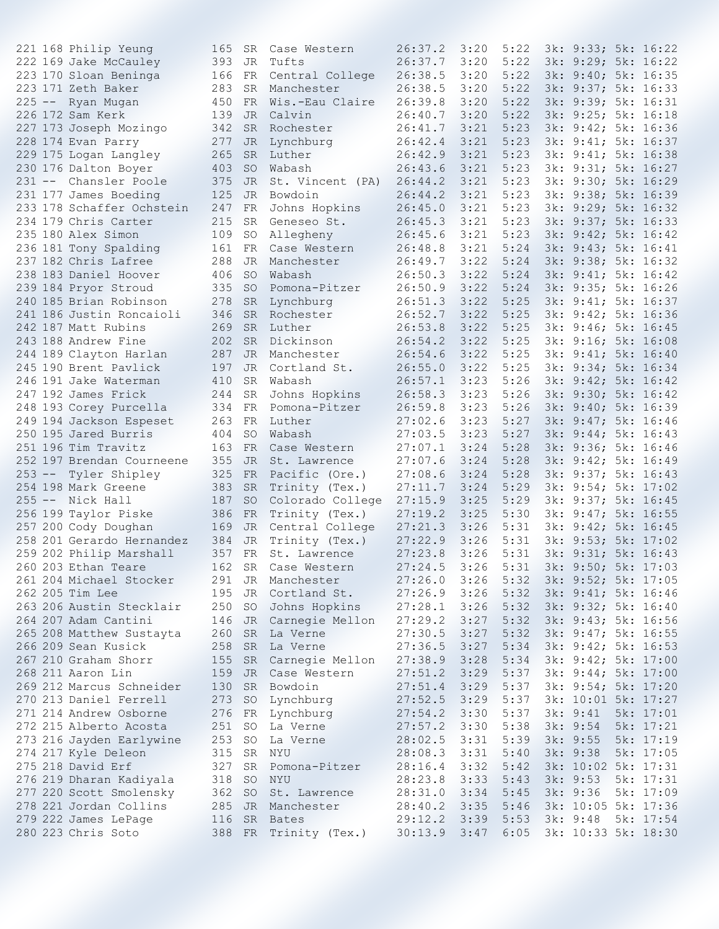|  | 221 168 Philip Yeung      | 165 |           | SR Case Western            | 26:37.2        | 3:20 | 5:22                     | 3k: 9:33; 5k: 16:22 |           |
|--|---------------------------|-----|-----------|----------------------------|----------------|------|--------------------------|---------------------|-----------|
|  | 222 169 Jake McCauley     | 393 |           | JR Tufts                   | 26:37.7        | 3:20 | 5:22                     | 3k: 9:29; 5k: 16:22 |           |
|  | 223 170 Sloan Beninga     | 166 | FR        | Central College            | 26:38.5        | 3:20 | 5:22                     | 3k: 9:40; 5k: 16:35 |           |
|  | 223 171 Zeth Baker        | 283 | SR        | Manchester                 | 26:38.5        | 3:20 | 5:22                     | 3k: 9:37; 5k: 16:33 |           |
|  | 225 -- Ryan Mugan         | 450 | FR        | Wis.-Eau Claire            | 26:39.8        | 3:20 | 5:22                     | 3k: 9:39; 5k: 16:31 |           |
|  | 226 172 Sam Kerk          | 139 | JR.       | Calvin                     | 26:40.7        | 3:20 | 5:22                     | 3k: 9:25; 5k: 16:18 |           |
|  | 227 173 Joseph Mozingo    | 342 | <b>SR</b> | Rochester                  | 26:41.7        | 3:21 | 5:23                     | 3k: 9:42; 5k: 16:36 |           |
|  | 228 174 Evan Parry        | 277 | JR        | Lynchburg                  | 26:42.4        | 3:21 | 5:23                     | 3k: 9:41; 5k: 16:37 |           |
|  | 229 175 Logan Langley     | 265 | <b>SR</b> | Luther                     | 26:42.9        | 3:21 | 5:23                     | 3k: 9:41; 5k: 16:38 |           |
|  | 230 176 Dalton Boyer      | 403 | <b>SO</b> | Wabash                     | 26:43.6        | 3:21 | 5:23                     | 3k: 9:31; 5k: 16:27 |           |
|  | 231 -- Chansler Poole     |     |           |                            |                |      |                          |                     |           |
|  |                           | 375 | JR        | St. Vincent (PA)           | 26:44.2        | 3:21 | 5:23                     | 3k: 9:30; 5k: 16:29 |           |
|  | 231 177 James Boeding     | 125 | JR        | Bowdoin                    | 26:44.2        | 3:21 | 5:23                     | 3k: 9:38; 5k: 16:39 |           |
|  | 233 178 Schaffer Ochstein | 247 | FR        | Johns Hopkins              | 26:45.0        | 3:21 | 5:23                     | 3k: 9:29; 5k: 16:32 |           |
|  | 234 179 Chris Carter      | 215 | <b>SR</b> | Geneseo St.                | 26:45.3        | 3:21 | 5:23                     | 3k: 9:37; 5k: 16:33 |           |
|  | 235 180 Alex Simon        | 109 | SO        | Allegheny                  | 26:45.6        | 3:21 | 5:23                     | 3k: 9:42; 5k: 16:42 |           |
|  | 236 181 Tony Spalding     | 161 | FR        | Case Western               | 26:48.8        | 3:21 | 5:24                     | 3k: 9:43; 5k: 16:41 |           |
|  | 237 182 Chris Lafree      | 288 |           | JR Manchester              | 26:49.7        | 3:22 | 5:24                     | 3k: 9:38; 5k: 16:32 |           |
|  | 238 183 Daniel Hoover     | 406 | SO.       | Wabash                     | 26:50.3        | 3:22 | 5:24                     | 3k: 9:41; 5k: 16:42 |           |
|  | 239 184 Pryor Stroud      | 335 | <b>SO</b> | Pomona-Pitzer              | 26:50.9        | 3:22 | 5:24                     | 3k: 9:35; 5k: 16:26 |           |
|  | 240 185 Brian Robinson    | 278 | <b>SR</b> | Lynchburg                  | 26:51.3        | 3:22 | 5:25                     | 3k: 9:41; 5k: 16:37 |           |
|  | 241 186 Justin Roncaioli  | 346 |           | SR Rochester               | 26:52.7        | 3:22 | 5:25                     | 3k: 9:42; 5k: 16:36 |           |
|  | 242 187 Matt Rubins       | 269 | SR.       | Luther                     | 26:53.8        | 3:22 | 5:25                     | 3k: 9:46; 5k: 16:45 |           |
|  | 243 188 Andrew Fine       | 202 | <b>SR</b> | Dickinson                  | 26:54.2        | 3:22 | 5:25                     | 3k: 9:16; 5k: 16:08 |           |
|  | 244 189 Clayton Harlan    | 287 | JR.       | Manchester                 | 26:54.6        | 3:22 | 5:25                     | 3k: 9:41; 5k: 16:40 |           |
|  | 245 190 Brent Pavlick     | 197 | <b>JR</b> | Cortland St.               | 26:55.0        | 3:22 | 5:25                     | 3k: 9:34; 5k: 16:34 |           |
|  | 246 191 Jake Waterman     | 410 | <b>SR</b> | Wabash                     | 26:57.1        | 3:23 | 5:26                     | 3k: 9:42; 5k: 16:42 |           |
|  | 247 192 James Frick       | 244 | <b>SR</b> | Johns Hopkins              | 26:58.3        | 3:23 | 5:26                     | 3k: 9:30; 5k: 16:42 |           |
|  |                           |     |           |                            |                |      |                          |                     |           |
|  | 248 193 Corey Purcella    | 334 | FR        | Pomona-Pitzer              | 26:59.8        | 3:23 | 5:26                     | 3k: 9:40; 5k: 16:39 |           |
|  | 249 194 Jackson Espeset   | 263 |           | FR Luther                  | 27:02.6        | 3:23 | 5:27                     | 3k: 9:47; 5k: 16:46 |           |
|  | 250 195 Jared Burris      | 404 | SO.       | Wabash                     | 27:03.5        | 3:23 | 5:27                     | 3k: 9:44; 5k: 16:43 |           |
|  | 251 196 Tim Travitz       | 163 | FR        | Case Western               | 27:07.1        | 3:24 | 5:28                     | 3k: 9:36; 5k: 16:46 |           |
|  | 252 197 Brendan Courneene | 355 | JR.       | St. Lawrence               | 27:07.6        | 3:24 | 5:28                     | 3k: 9:42; 5k: 16:49 |           |
|  | 253 -- Tyler Shipley      | 325 | FR        | Pacific (Ore.)             | 27:08.6        | 3:24 | 5:28                     | 3k: 9:37; 5k: 16:43 |           |
|  | 254 198 Mark Greene       | 383 | <b>SR</b> | Trinity (Tex.)             | 27:11.7        | 3:24 | 5:29                     | 3k: 9:54; 5k: 17:02 |           |
|  | 255 -- Nick Hall          | 187 | <b>SO</b> | Colorado College           | 27:15.9        | 3:25 | 5:29                     | 3k: 9:37; 5k: 16:45 |           |
|  | 256 199 Taylor Piske      | 386 | FR        | Trinity (Tex.)             | 27:19.2        | 3:25 | 5:30                     | 3k: 9:47; 5k: 16:55 |           |
|  | 257 200 Cody Doughan      | 169 |           | JR Central College         | 27:21.3        | 3:26 | 5:31                     | 3k: 9:42; 5k: 16:45 |           |
|  | 258 201 Gerardo Hernandez | 384 | JR        | Trinity (Tex.)             | 27:22.9        | 3:26 | 5:31                     | 3k: 9:53; 5k: 17:02 |           |
|  | 259 202 Philip Marshall   | 357 | FR        | St. Lawrence               | 27:23.8        | 3:26 | 5:31                     | 3k: 9:31; 5k: 16:43 |           |
|  | 260 203 Ethan Teare       | 162 |           | SR Case Western            | 27:24.5        | 3:26 | 5:31                     | 3k: 9:50; 5k: 17:03 |           |
|  | 261 204 Michael Stocker   | 291 |           | JR Manchester              | $27:26.0$ 3:26 |      | 5:32 3k: 9:52; 5k: 17:05 |                     |           |
|  | 262 205 Tim Lee           | 195 |           | JR Cortland St.            | 27:26.9        | 3:26 | 5:32 3k: 9:41; 5k: 16:46 |                     |           |
|  | 263 206 Austin Stecklair  | 250 |           |                            |                | 3:26 | 5:32                     |                     |           |
|  |                           |     | SO        | Johns Hopkins 27:28.1      |                |      |                          | 3k: 9:32; 5k: 16:40 |           |
|  | 264 207 Adam Cantini      | 146 |           | JR Carnegie Mellon 27:29.2 |                | 3:27 | 5:32                     | 3k: 9:43; 5k: 16:56 |           |
|  | 265 208 Matthew Sustayta  |     |           | 260 SR La Verne            | 27:30.5        | 3:27 | 5:32                     | 3k: 9:47; 5k: 16:55 |           |
|  | 266 209 Sean Kusick       | 258 |           | SR La Verne                | 27:36.5        | 3:27 | 5:34                     | 3k: 9:42; 5k: 16:53 |           |
|  | 267 210 Graham Shorr      | 155 |           | SR Carnegie Mellon         | 27:38.9        | 3:28 | 5:34                     | 3k: 9:42; 5k: 17:00 |           |
|  | 268 211 Aaron Lin         | 159 |           | JR Case Western            | 27:51.2        | 3:29 | 5:37                     | 3k: 9:44; 5k: 17:00 |           |
|  | 269 212 Marcus Schneider  | 130 |           | SR Bowdoin                 | 27:51.4        | 3:29 | 5:37                     | 3k: 9:54; 5k: 17:20 |           |
|  | 270 213 Daniel Ferrell    | 273 | <b>SO</b> | Lynchburg                  | 27:52.5        | 3:29 | 5:37                     | 3k: 10:01 5k: 17:27 |           |
|  | 271 214 Andrew Osborne    |     |           | 276 FR Lynchburg           | 27:54.2        | 3:30 | 5:37                     | 3k: 9:41            | 5k: 17:01 |
|  | 272 215 Alberto Acosta    | 251 | SO        | La Verne                   | 27:57.2        | 3:30 | 5:38                     | 3k: 9:54            | 5k: 17:21 |
|  | 273 216 Jayden Earlywine  | 253 | SO        | La Verne                   | 28:02.5        | 3:31 | 5:39                     | 3k: 9:55            | 5k: 17:19 |
|  | 274 217 Kyle Deleon       | 315 |           | SR NYU                     | 28:08.3        | 3:31 | 5:40                     | 3k: 9:38            | 5k: 17:05 |
|  | 275 218 David Erf         | 327 |           | SR Pomona-Pitzer           | 28:16.4        | 3:32 | 5:42                     | 3k: 10:02 5k: 17:31 |           |
|  | 276 219 Dharan Kadiyala   | 318 |           | SO NYU                     | 28:23.8        | 3:33 | 5:43                     | 3k: 9:53            | 5k: 17:31 |
|  | 277 220 Scott Smolensky   | 362 |           | SO St. Lawrence            | 28:31.0        | 3:34 | 5:45                     | 3k: 9:36            | 5k: 17:09 |
|  | 278 221 Jordan Collins    | 285 |           | JR Manchester              | 28:40.2        | 3:35 | 5:46                     | 3k: 10:05 5k: 17:36 |           |
|  |                           |     |           |                            |                |      |                          |                     |           |
|  | 279 222 James LePage      |     |           | 116 SR Bates               | 29:12.2        | 3:39 | 5:53                     | 3k: 9:48            | 5k: 17:54 |
|  | 280 223 Chris Soto        |     |           | 388 FR Trinity (Tex.)      | 30:13.9        | 3:47 | 6:05                     | 3k: 10:33 5k: 18:30 |           |